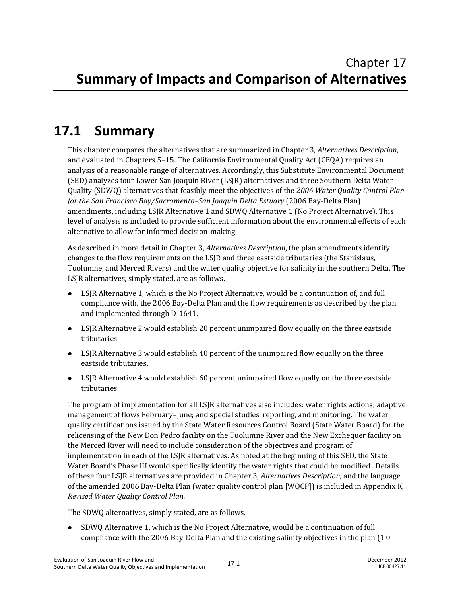## **17.1 Summary**

This chapter compares the alternatives that are summarized in Chapter 3, *Alternatives Description*, and evaluated in Chapters 5–15. The California Environmental Quality Act (CEQA) requires an analysis of a reasonable range of alternatives. Accordingly, this Substitute Environmental Document (SED) analyzes four Lower San Joaquin River (LSJR) alternatives and three Southern Delta Water Quality (SDWQ) alternatives that feasibly meet the objectives of the *2006 Water Quality Control Plan for the San Francisco Bay/Sacramento–San Joaquin Delta Estuary* (2006 Bay-Delta Plan) amendments, including LSJR Alternative 1 and SDWQ Alternative 1 (No Project Alternative). This level of analysis is included to provide sufficient information about the environmental effects of each alternative to allow for informed decision-making.

As described in more detail in Chapter 3, *Alternatives Description*, the plan amendments identify changes to the flow requirements on the LSJR and three eastside tributaries (the Stanislaus, Tuolumne, and Merced Rivers) and the water quality objective for salinity in the southern Delta. The LSJR alternatives, simply stated, are as follows.

- LSJR Alternative 1, which is the No Project Alternative, would be a continuation of, and full compliance with, the 2006 Bay-Delta Plan and the flow requirements as described by the plan and implemented through D-1641.
- LSJR Alternative 2 would establish 20 percent unimpaired flow equally on the three eastside tributaries.
- LSJR Alternative 3 would establish 40 percent of the unimpaired flow equally on the three eastside tributaries.
- LSJR Alternative 4 would establish 60 percent unimpaired flow equally on the three eastside tributaries.

The program of implementation for all LSJR alternatives also includes: water rights actions; adaptive management of flows February–June; and special studies, reporting, and monitoring. The water quality certifications issued by the State Water Resources Control Board (State Water Board) for the relicensing of the New Don Pedro facility on the Tuolumne River and the New Exchequer facility on the Merced River will need to include consideration of the objectives and program of implementation in each of the LSJR alternatives. As noted at the beginning of this SED, the State Water Board's Phase III would specifically identify the water rights that could be modified . Details of these four LSJR alternatives are provided in Chapter 3, *Alternatives Description,* and the language of the amended 2006 Bay-Delta Plan (water quality control plan [WQCP]) is included in Appendix K, *Revised Water Quality Control Plan.*

The SDWQ alternatives, simply stated, are as follows.

 SDWQ Alternative 1, which is the No Project Alternative, would be a continuation of full compliance with the 2006 Bay-Delta Plan and the existing salinity objectives in the plan (1.0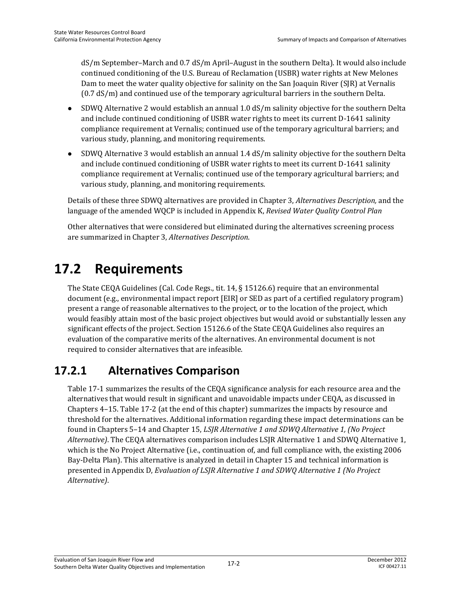dS/m September–March and 0.7 dS/m April–August in the southern Delta). It would also include continued conditioning of the U.S. Bureau of Reclamation (USBR) water rights at New Melones Dam to meet the water quality objective for salinity on the San Joaquin River (SJR) at Vernalis (0.7 dS/m) and continued use of the temporary agricultural barriers in the southern Delta.

- SDWQ Alternative 2 would establish an annual 1.0 dS/m salinity objective for the southern Delta and include continued conditioning of USBR water rights to meet its current D-1641 salinity compliance requirement at Vernalis; continued use of the temporary agricultural barriers; and various study, planning, and monitoring requirements.
- SDWQ Alternative 3 would establish an annual 1.4 dS/m salinity objective for the southern Delta and include continued conditioning of USBR water rights to meet its current D-1641 salinity compliance requirement at Vernalis; continued use of the temporary agricultural barriers; and various study, planning, and monitoring requirements.

Details of these three SDWQ alternatives are provided in Chapter 3, *Alternatives Description,* and the language of the amended WQCP is included in Appendix K, *Revised Water Quality Control Plan*

Other alternatives that were considered but eliminated during the alternatives screening process are summarized in Chapter 3, *Alternatives Description*.

# **17.2 Requirements**

The State CEQA Guidelines (Cal. Code Regs., tit. 14, § 15126.6) require that an environmental document (e.g., environmental impact report [EIR] or SED as part of a certified regulatory program) present a range of reasonable alternatives to the project, or to the location of the project, which would feasibly attain most of the basic project objectives but would avoid or substantially lessen any significant effects of the project. Section 15126.6 of the State CEQA Guidelines also requires an evaluation of the comparative merits of the alternatives. An environmental document is not required to consider alternatives that are infeasible.

#### **17.2.1 Alternatives Comparison**

Table 17-1 summarizes the results of the CEQA significance analysis for each resource area and the alternatives that would result in significant and unavoidable impacts under CEQA, as discussed in Chapters 4–15. Table 17-2 (at the end of this chapter) summarizes the impacts by resource and threshold for the alternatives. Additional information regarding these impact determinations can be found in Chapters 5–14 and Chapter 15, *LSJR Alternative 1 and SDWQ Alternative 1, (No Project Alternative)*. The CEQA alternatives comparison includes LSJR Alternative 1 and SDWQ Alternative 1, which is the No Project Alternative (i.e., continuation of, and full compliance with, the existing 2006 Bay-Delta Plan). This alternative is analyzed in detail in Chapter 15 and technical information is presented in Appendix D, *Evaluation of LSJR Alternative 1 and SDWQ Alternative 1 (No Project Alternative)*.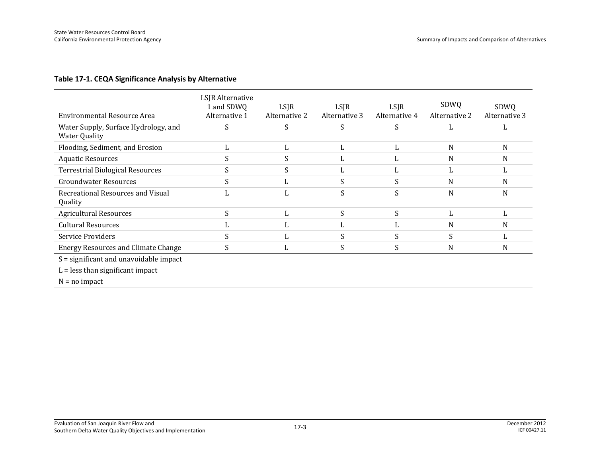#### **Table 17-1. CEQA Significance Analysis by Alternative**

| Environmental Resource Area                                  | LSJR Alternative<br>1 and SDWQ<br>Alternative 1 | LSJR<br>Alternative 2 | LSJR<br>Alternative 3 | LSJR<br>Alternative 4 | <b>SDWQ</b><br>Alternative 2 | SDWQ<br>Alternative 3 |
|--------------------------------------------------------------|-------------------------------------------------|-----------------------|-----------------------|-----------------------|------------------------------|-----------------------|
| Water Supply, Surface Hydrology, and<br><b>Water Quality</b> | S                                               | S                     | S                     | S                     | L                            | Ŀ                     |
| Flooding, Sediment, and Erosion                              | L                                               | L                     | L                     | L                     | N                            | N                     |
| <b>Aquatic Resources</b>                                     | S                                               | S                     | L                     | L                     | N                            | N                     |
| <b>Terrestrial Biological Resources</b>                      | S.                                              | S.                    | L                     | L                     | L                            | ь                     |
| <b>Groundwater Resources</b>                                 | S                                               |                       | S.                    | S                     | N                            | N                     |
| Recreational Resources and Visual<br>Quality                 | L                                               | L                     | S                     | S                     | N                            | N                     |
| <b>Agricultural Resources</b>                                | S                                               | L                     | S                     | S                     | L.                           | L                     |
| <b>Cultural Resources</b>                                    | L.                                              | L                     | L                     | L                     | N                            | N                     |
| Service Providers                                            | S                                               | L                     | S                     | S                     | S                            | L                     |
| <b>Energy Resources and Climate Change</b>                   | S                                               | L                     | S                     | S                     | N                            | N                     |
| $S =$ significant and unavoidable impact                     |                                                 |                       |                       |                       |                              |                       |
| $L =$ less than significant impact                           |                                                 |                       |                       |                       |                              |                       |
| $N = no$ impact                                              |                                                 |                       |                       |                       |                              |                       |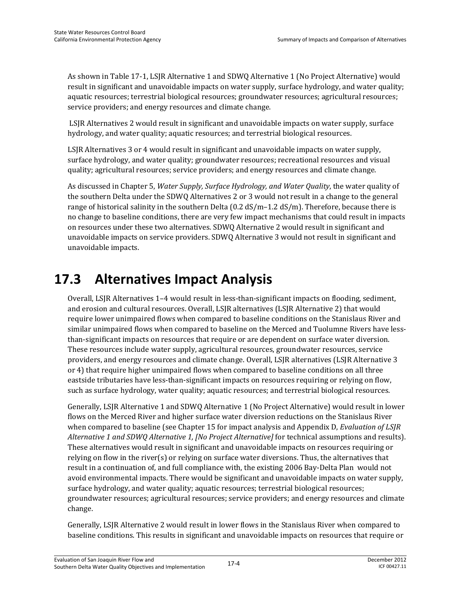As shown in Table 17-1, LSJR Alternative 1 and SDWQ Alternative 1 (No Project Alternative) would result in significant and unavoidable impacts on water supply, surface hydrology, and water quality; aquatic resources; terrestrial biological resources; groundwater resources; agricultural resources; service providers; and energy resources and climate change.

 LSJR Alternatives 2 would result in significant and unavoidable impacts on water supply, surface hydrology, and water quality; aquatic resources; and terrestrial biological resources.

LSJR Alternatives 3 or 4 would result in significant and unavoidable impacts on water supply, surface hydrology, and water quality; groundwater resources; recreational resources and visual quality; agricultural resources; service providers; and energy resources and climate change.

As discussed in Chapter 5, *Water Supply, Surface Hydrology, and Water Quality*, the water quality of the southern Delta under the SDWQ Alternatives 2 or 3 would not result in a change to the general range of historical salinity in the southern Delta (0.2 dS/m–1.2 dS/m). Therefore, because there is no change to baseline conditions, there are very few impact mechanisms that could result in impacts on resources under these two alternatives. SDWQ Alternative 2 would result in significant and unavoidable impacts on service providers. SDWQ Alternative 3 would not result in significant and unavoidable impacts.

# **17.3 Alternatives Impact Analysis**

Overall, LSJR Alternatives 1–4 would result in less-than-significant impacts on flooding, sediment, and erosion and cultural resources. Overall, LSJR alternatives (LSJR Alternative 2) that would require lower unimpaired flows when compared to baseline conditions on the Stanislaus River and similar unimpaired flows when compared to baseline on the Merced and Tuolumne Rivers have lessthan-significant impacts on resources that require or are dependent on surface water diversion. These resources include water supply, agricultural resources, groundwater resources, service providers, and energy resources and climate change. Overall, LSJR alternatives (LSJR Alternative 3 or 4) that require higher unimpaired flows when compared to baseline conditions on all three eastside tributaries have less-than-significant impacts on resources requiring or relying on flow, such as surface hydrology, water quality; aquatic resources; and terrestrial biological resources.

Generally, LSJR Alternative 1 and SDWQ Alternative 1 (No Project Alternative) would result in lower flows on the Merced River and higher surface water diversion reductions on the Stanislaus River when compared to baseline (see Chapter 15 for impact analysis and Appendix D, *Evaluation of LSJR Alternative 1 and SDWQ Alternative 1, [No Project Alternative]* for technical assumptions and results). These alternatives would result in significant and unavoidable impacts on resources requiring or relying on flow in the river(s) or relying on surface water diversions. Thus, the alternatives that result in a continuation of, and full compliance with, the existing 2006 Bay-Delta Plan would not avoid environmental impacts. There would be significant and unavoidable impacts on water supply, surface hydrology, and water quality; aquatic resources; terrestrial biological resources; groundwater resources; agricultural resources; service providers; and energy resources and climate change.

Generally, LSJR Alternative 2 would result in lower flows in the Stanislaus River when compared to baseline conditions. This results in significant and unavoidable impacts on resources that require or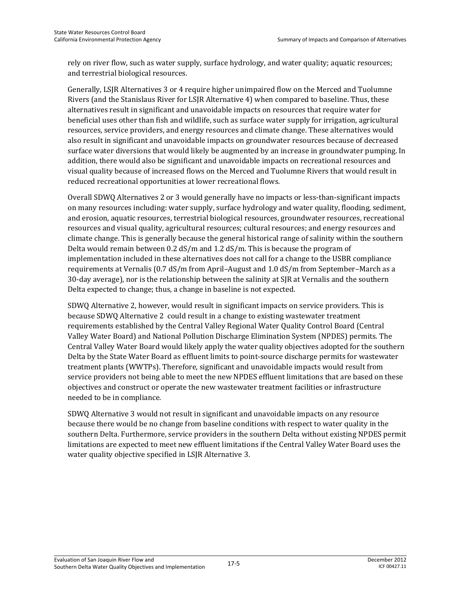rely on river flow, such as water supply, surface hydrology, and water quality; aquatic resources; and terrestrial biological resources.

Generally, LSJR Alternatives 3 or 4 require higher unimpaired flow on the Merced and Tuolumne Rivers (and the Stanislaus River for LSJR Alternative 4) when compared to baseline. Thus, these alternatives result in significant and unavoidable impacts on resources that require water for beneficial uses other than fish and wildlife, such as surface water supply for irrigation, agricultural resources, service providers, and energy resources and climate change. These alternatives would also result in significant and unavoidable impacts on groundwater resources because of decreased surface water diversions that would likely be augmented by an increase in groundwater pumping. In addition, there would also be significant and unavoidable impacts on recreational resources and visual quality because of increased flows on the Merced and Tuolumne Rivers that would result in reduced recreational opportunities at lower recreational flows.

Overall SDWQ Alternatives 2 or 3 would generally have no impacts or less-than-significant impacts on many resources including: water supply, surface hydrology and water quality, flooding, sediment, and erosion, aquatic resources, terrestrial biological resources, groundwater resources, recreational resources and visual quality, agricultural resources; cultural resources; and energy resources and climate change. This is generally because the general historical range of salinity within the southern Delta would remain between 0.2 dS/m and 1.2 dS/m. This is because the program of implementation included in these alternatives does not call for a change to the USBR compliance requirements at Vernalis (0.7 dS/m from April–August and 1.0 dS/m from September–March as a 30-day average), nor is the relationship between the salinity at SJR at Vernalis and the southern Delta expected to change; thus, a change in baseline is not expected.

SDWQ Alternative 2, however, would result in significant impacts on service providers. This is because SDWQ Alternative 2 could result in a change to existing wastewater treatment requirements established by the Central Valley Regional Water Quality Control Board (Central Valley Water Board) and National Pollution Discharge Elimination System (NPDES) permits. The Central Valley Water Board would likely apply the water quality objectives adopted for the southern Delta by the State Water Board as effluent limits to point-source discharge permits for wastewater treatment plants (WWTPs). Therefore, significant and unavoidable impacts would result from service providers not being able to meet the new NPDES effluent limitations that are based on these objectives and construct or operate the new wastewater treatment facilities or infrastructure needed to be in compliance.

SDWQ Alternative 3 would not result in significant and unavoidable impacts on any resource because there would be no change from baseline conditions with respect to water quality in the southern Delta. Furthermore, service providers in the southern Delta without existing NPDES permit limitations are expected to meet new effluent limitations if the Central Valley Water Board uses the water quality objective specified in LSJR Alternative 3.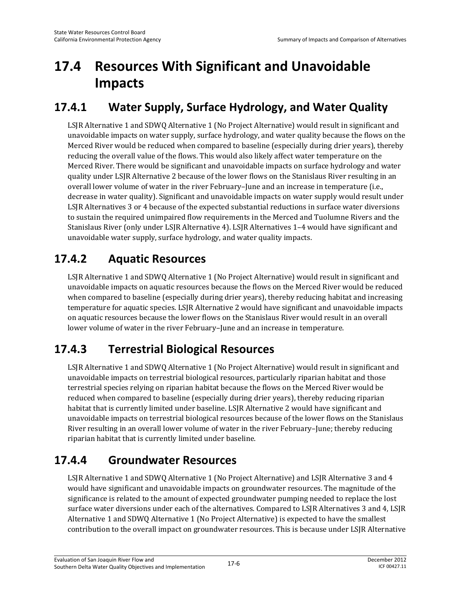## **17.4 Resources With Significant and Unavoidable Impacts**

#### **17.4.1 Water Supply, Surface Hydrology, and Water Quality**

LSJR Alternative 1 and SDWQ Alternative 1 (No Project Alternative) would result in significant and unavoidable impacts on water supply, surface hydrology, and water quality because the flows on the Merced River would be reduced when compared to baseline (especially during drier years), thereby reducing the overall value of the flows. This would also likely affect water temperature on the Merced River. There would be significant and unavoidable impacts on surface hydrology and water quality under LSJR Alternative 2 because of the lower flows on the Stanislaus River resulting in an overall lower volume of water in the river February–June and an increase in temperature (i.e., decrease in water quality). Significant and unavoidable impacts on water supply would result under LSJR Alternatives 3 or 4 because of the expected substantial reductions in surface water diversions to sustain the required unimpaired flow requirements in the Merced and Tuolumne Rivers and the Stanislaus River (only under LSJR Alternative 4). LSJR Alternatives 1–4 would have significant and unavoidable water supply, surface hydrology, and water quality impacts.

### **17.4.2 Aquatic Resources**

LSJR Alternative 1 and SDWQ Alternative 1 (No Project Alternative) would result in significant and unavoidable impacts on aquatic resources because the flows on the Merced River would be reduced when compared to baseline (especially during drier years), thereby reducing habitat and increasing temperature for aquatic species. LSJR Alternative 2 would have significant and unavoidable impacts on aquatic resources because the lower flows on the Stanislaus River would result in an overall lower volume of water in the river February–June and an increase in temperature.

### **17.4.3 Terrestrial Biological Resources**

LSJR Alternative 1 and SDWQ Alternative 1 (No Project Alternative) would result in significant and unavoidable impacts on terrestrial biological resources, particularly riparian habitat and those terrestrial species relying on riparian habitat because the flows on the Merced River would be reduced when compared to baseline (especially during drier years), thereby reducing riparian habitat that is currently limited under baseline. LSJR Alternative 2 would have significant and unavoidable impacts on terrestrial biological resources because of the lower flows on the Stanislaus River resulting in an overall lower volume of water in the river February–June; thereby reducing riparian habitat that is currently limited under baseline.

#### **17.4.4 Groundwater Resources**

LSJR Alternative 1 and SDWQ Alternative 1 (No Project Alternative) and LSJR Alternative 3 and 4 would have significant and unavoidable impacts on groundwater resources. The magnitude of the significance is related to the amount of expected groundwater pumping needed to replace the lost surface water diversions under each of the alternatives. Compared to LSJR Alternatives 3 and 4, LSJR Alternative 1 and SDWQ Alternative 1 (No Project Alternative) is expected to have the smallest contribution to the overall impact on groundwater resources. This is because under LSJR Alternative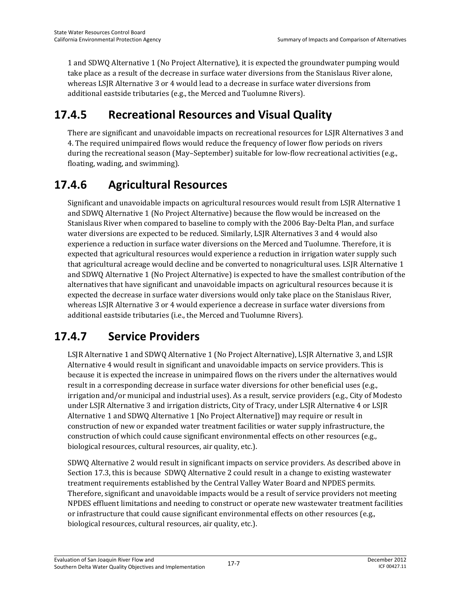1 and SDWQ Alternative 1 (No Project Alternative), it is expected the groundwater pumping would take place as a result of the decrease in surface water diversions from the Stanislaus River alone, whereas LSJR Alternative 3 or 4 would lead to a decrease in surface water diversions from additional eastside tributaries (e.g., the Merced and Tuolumne Rivers).

#### **17.4.5 Recreational Resources and Visual Quality**

There are significant and unavoidable impacts on recreational resources for LSJR Alternatives 3 and 4. The required unimpaired flows would reduce the frequency of lower flow periods on rivers during the recreational season (May–September) suitable for low-flow recreational activities (e.g., floating, wading, and swimming).

#### **17.4.6 Agricultural Resources**

Significant and unavoidable impacts on agricultural resources would result from LSJR Alternative 1 and SDWQ Alternative 1 (No Project Alternative) because the flow would be increased on the Stanislaus River when compared to baseline to comply with the 2006 Bay-Delta Plan, and surface water diversions are expected to be reduced. Similarly, LSJR Alternatives 3 and 4 would also experience a reduction in surface water diversions on the Merced and Tuolumne. Therefore, it is expected that agricultural resources would experience a reduction in irrigation water supply such that agricultural acreage would decline and be converted to nonagricultural uses. LSJR Alternative 1 and SDWQ Alternative 1 (No Project Alternative) is expected to have the smallest contribution of the alternatives that have significant and unavoidable impacts on agricultural resources because it is expected the decrease in surface water diversions would only take place on the Stanislaus River, whereas LSJR Alternative 3 or 4 would experience a decrease in surface water diversions from additional eastside tributaries (i.e., the Merced and Tuolumne Rivers).

#### **17.4.7 Service Providers**

LSJR Alternative 1 and SDWQ Alternative 1 (No Project Alternative), LSJR Alternative 3, and LSJR Alternative 4 would result in significant and unavoidable impacts on service providers. This is because it is expected the increase in unimpaired flows on the rivers under the alternatives would result in a corresponding decrease in surface water diversions for other beneficial uses (e.g., irrigation and/or municipal and industrial uses). As a result, service providers (e.g., City of Modesto under LSJR Alternative 3 and irrigation districts, City of Tracy, under LSJR Alternative 4 or LSJR Alternative 1 and SDWQ Alternative 1 [No Project Alternative]) may require or result in construction of new or expanded water treatment facilities or water supply infrastructure, the construction of which could cause significant environmental effects on other resources (e.g., biological resources, cultural resources, air quality, etc.).

SDWQ Alternative 2 would result in significant impacts on service providers. As described above in Section 17.3, this is because SDWQ Alternative 2 could result in a change to existing wastewater treatment requirements established by the Central Valley Water Board and NPDES permits. Therefore, significant and unavoidable impacts would be a result of service providers not meeting NPDES effluent limitations and needing to construct or operate new wastewater treatment facilities or infrastructure that could cause significant environmental effects on other resources (e.g., biological resources, cultural resources, air quality, etc.).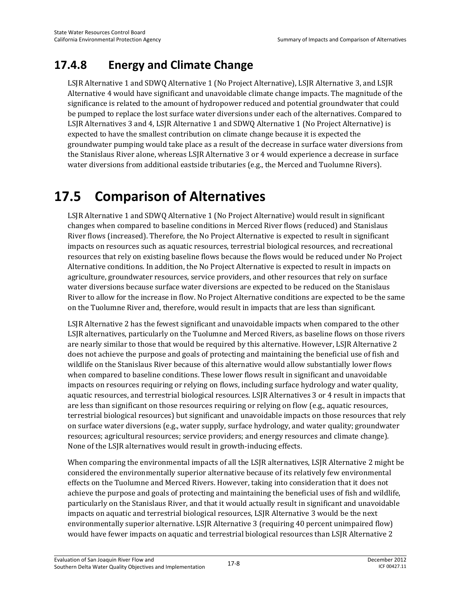#### **17.4.8 Energy and Climate Change**

LSJR Alternative 1 and SDWQ Alternative 1 (No Project Alternative), LSJR Alternative 3, and LSJR Alternative 4 would have significant and unavoidable climate change impacts. The magnitude of the significance is related to the amount of hydropower reduced and potential groundwater that could be pumped to replace the lost surface water diversions under each of the alternatives. Compared to LSJR Alternatives 3 and 4, LSJR Alternative 1 and SDWQ Alternative 1 (No Project Alternative) is expected to have the smallest contribution on climate change because it is expected the groundwater pumping would take place as a result of the decrease in surface water diversions from the Stanislaus River alone, whereas LSJR Alternative 3 or 4 would experience a decrease in surface water diversions from additional eastside tributaries (e.g., the Merced and Tuolumne Rivers).

# **17.5 Comparison of Alternatives**

LSJR Alternative 1 and SDWQ Alternative 1 (No Project Alternative) would result in significant changes when compared to baseline conditions in Merced River flows (reduced) and Stanislaus River flows (increased). Therefore, the No Project Alternative is expected to result in significant impacts on resources such as aquatic resources, terrestrial biological resources, and recreational resources that rely on existing baseline flows because the flows would be reduced under No Project Alternative conditions. In addition, the No Project Alternative is expected to result in impacts on agriculture, groundwater resources, service providers, and other resources that rely on surface water diversions because surface water diversions are expected to be reduced on the Stanislaus River to allow for the increase in flow. No Project Alternative conditions are expected to be the same on the Tuolumne River and, therefore, would result in impacts that are less than significant.

LSJR Alternative 2 has the fewest significant and unavoidable impacts when compared to the other LSJR alternatives, particularly on the Tuolumne and Merced Rivers, as baseline flows on those rivers are nearly similar to those that would be required by this alternative. However, LSJR Alternative 2 does not achieve the purpose and goals of protecting and maintaining the beneficial use of fish and wildlife on the Stanislaus River because of this alternative would allow substantially lower flows when compared to baseline conditions. These lower flows result in significant and unavoidable impacts on resources requiring or relying on flows, including surface hydrology and water quality, aquatic resources, and terrestrial biological resources. LSJR Alternatives 3 or 4 result in impacts that are less than significant on those resources requiring or relying on flow (e.g., aquatic resources, terrestrial biological resources) but significant and unavoidable impacts on those resources that rely on surface water diversions (e.g., water supply, surface hydrology, and water quality; groundwater resources; agricultural resources; service providers; and energy resources and climate change). None of the LSJR alternatives would result in growth-inducing effects.

When comparing the environmental impacts of all the LSJR alternatives, LSJR Alternative 2 might be considered the environmentally superior alternative because of its relatively few environmental effects on the Tuolumne and Merced Rivers. However, taking into consideration that it does not achieve the purpose and goals of protecting and maintaining the beneficial uses of fish and wildlife, particularly on the Stanislaus River, and that it would actually result in significant and unavoidable impacts on aquatic and terrestrial biological resources, LSJR Alternative 3 would be the next environmentally superior alternative. LSJR Alternative 3 (requiring 40 percent unimpaired flow) would have fewer impacts on aquatic and terrestrial biological resources than LSJR Alternative 2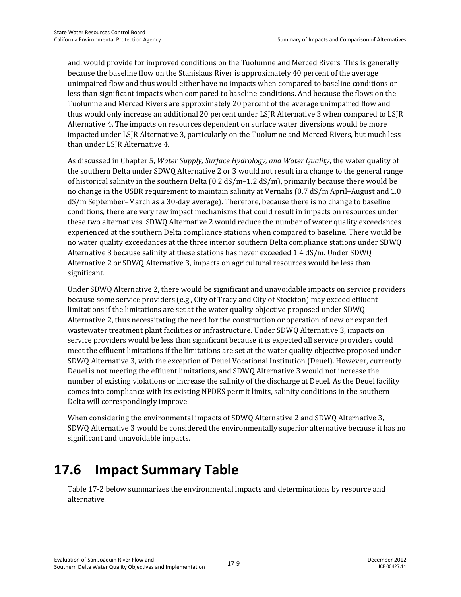and, would provide for improved conditions on the Tuolumne and Merced Rivers. This is generally because the baseline flow on the Stanislaus River is approximately 40 percent of the average unimpaired flow and thus would either have no impacts when compared to baseline conditions or less than significant impacts when compared to baseline conditions. And because the flows on the Tuolumne and Merced Rivers are approximately 20 percent of the average unimpaired flow and thus would only increase an additional 20 percent under LSJR Alternative 3 when compared to LSJR Alternative 4. The impacts on resources dependent on surface water diversions would be more impacted under LSJR Alternative 3, particularly on the Tuolumne and Merced Rivers, but much less than under LSJR Alternative 4.

As discussed in Chapter 5, *Water Supply, Surface Hydrology, and Water Quality*, the water quality of the southern Delta under SDWQ Alternative 2 or 3 would not result in a change to the general range of historical salinity in the southern Delta  $(0.2 \text{ dS/m} - 1.2 \text{ dS/m})$ , primarily because there would be no change in the USBR requirement to maintain salinity at Vernalis (0.7 dS/m April–August and 1.0 dS/m September–March as a 30-day average). Therefore, because there is no change to baseline conditions, there are very few impact mechanisms that could result in impacts on resources under these two alternatives. SDWQ Alternative 2 would reduce the number of water quality exceedances experienced at the southern Delta compliance stations when compared to baseline. There would be no water quality exceedances at the three interior southern Delta compliance stations under SDWQ Alternative 3 because salinity at these stations has never exceeded 1.4 dS/m. Under SDWQ Alternative 2 or SDWQ Alternative 3, impacts on agricultural resources would be less than significant.

Under SDWQ Alternative 2, there would be significant and unavoidable impacts on service providers because some service providers (e.g., City of Tracy and City of Stockton) may exceed effluent limitations if the limitations are set at the water quality objective proposed under SDWQ Alternative 2, thus necessitating the need for the construction or operation of new or expanded wastewater treatment plant facilities or infrastructure. Under SDWQ Alternative 3, impacts on service providers would be less than significant because it is expected all service providers could meet the effluent limitations if the limitations are set at the water quality objective proposed under SDWQ Alternative 3, with the exception of Deuel Vocational Institution (Deuel). However, currently Deuel is not meeting the effluent limitations, and SDWQ Alternative 3 would not increase the number of existing violations or increase the salinity of the discharge at Deuel. As the Deuel facility comes into compliance with its existing NPDES permit limits, salinity conditions in the southern Delta will correspondingly improve.

When considering the environmental impacts of SDWQ Alternative 2 and SDWQ Alternative 3, SDWQ Alternative 3 would be considered the environmentally superior alternative because it has no significant and unavoidable impacts.

# **17.6 Impact Summary Table**

Table 17-2 below summarizes the environmental impacts and determinations by resource and alternative.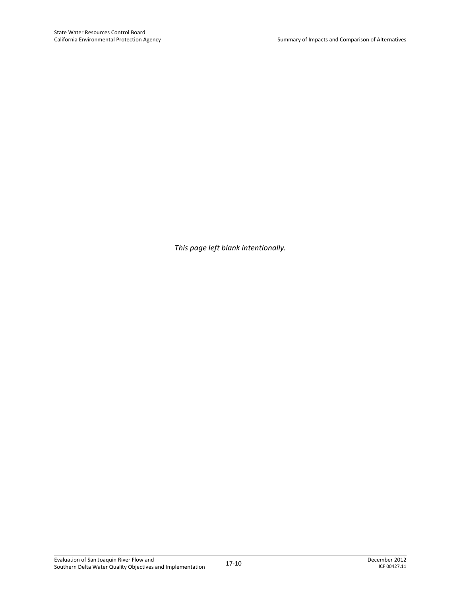*This page left blank intentionally.*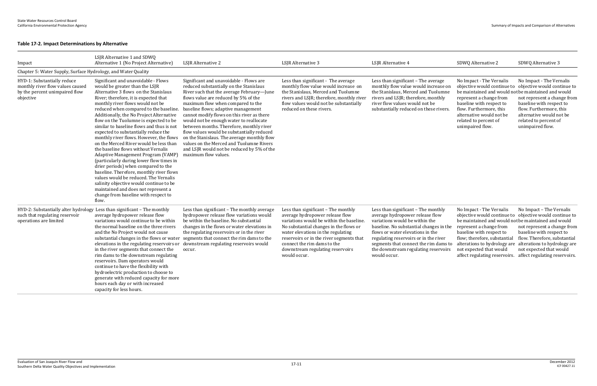#### **Table 17-2. Impact Determinations by Alternative**

| Impact                                                                                                         | LSJR Alternative 1 and SDWQ<br>Alternative 1 (No Project Alternative)                                                                                                                                                                                                                                                                                                                                                                                                                                                                                                                                                                                                                                                                                                                                                                                                                         | LSJR Alternative 2                                                                                                                                                                                                                                                                                                                                                                                                                                                                                                                                                                                      | LSJR Alternative 3                                                                                                                                                                                                                                                                                                                | LSJR Alternative 4                                                                                                                                                                                                                                                                                                                | SDWQ Alternative 2                                                                                                                                                                                                                        | SDWQ Alternative 3                                                                                                                                                                                                                                                                                      |
|----------------------------------------------------------------------------------------------------------------|-----------------------------------------------------------------------------------------------------------------------------------------------------------------------------------------------------------------------------------------------------------------------------------------------------------------------------------------------------------------------------------------------------------------------------------------------------------------------------------------------------------------------------------------------------------------------------------------------------------------------------------------------------------------------------------------------------------------------------------------------------------------------------------------------------------------------------------------------------------------------------------------------|---------------------------------------------------------------------------------------------------------------------------------------------------------------------------------------------------------------------------------------------------------------------------------------------------------------------------------------------------------------------------------------------------------------------------------------------------------------------------------------------------------------------------------------------------------------------------------------------------------|-----------------------------------------------------------------------------------------------------------------------------------------------------------------------------------------------------------------------------------------------------------------------------------------------------------------------------------|-----------------------------------------------------------------------------------------------------------------------------------------------------------------------------------------------------------------------------------------------------------------------------------------------------------------------------------|-------------------------------------------------------------------------------------------------------------------------------------------------------------------------------------------------------------------------------------------|---------------------------------------------------------------------------------------------------------------------------------------------------------------------------------------------------------------------------------------------------------------------------------------------------------|
| Chapter 5: Water Supply, Surface Hydrology, and Water Quality                                                  |                                                                                                                                                                                                                                                                                                                                                                                                                                                                                                                                                                                                                                                                                                                                                                                                                                                                                               |                                                                                                                                                                                                                                                                                                                                                                                                                                                                                                                                                                                                         |                                                                                                                                                                                                                                                                                                                                   |                                                                                                                                                                                                                                                                                                                                   |                                                                                                                                                                                                                                           |                                                                                                                                                                                                                                                                                                         |
| HYD-1: Substantially reduce<br>monthly river flow values caused<br>by the percent unimpaired flow<br>objective | Significant and unavoidable - Flows<br>would be greater than the LSJR<br>Alternative 3 flows on the Stanislaus<br>River; therefore, it is expected that<br>monthly river flows would not be<br>reduced when compared to the baseline.<br>Additionally, the No Project Alternative<br>flow on the Tuolumne is expected to be<br>similar to baseline flows and thus is not<br>expected to substantially reduce the<br>monthly river flows. However, the flows<br>on the Merced River would be less than<br>the baseline flows without Vernalis<br>Adaptive Management Program (VAMP)<br>(particularly during lower flow times in<br>drier periods) when compared to the<br>baseline. Therefore, monthly river flows<br>values would be reduced. The Vernalis<br>salinity objective would continue to be<br>maintained and does not represent a<br>change from baseline with respect to<br>flow. | Significant and unavoidable - Flows are<br>reduced substantially on the Stanislaus<br>River such that the average February-June<br>flows value are reduced by 5% of the<br>maximum flow when compared to the<br>baseline flows; adaptive management<br>cannot modify flows on this river as there<br>would not be enough water to reallocate<br>between months. Therefore, monthly river<br>flow values would be substantially reduced<br>on the Stanislaus. The average monthly flow<br>values on the Merced and Tuolumne Rivers<br>and LSJR would not be reduced by 5% of the<br>maximum flow values. | Less than significant - The average<br>monthly flow value would increase on<br>the Stanislaus, Merced and Tuolumne<br>rivers and LSJR; therefore, monthly river<br>flow values would not be substantially<br>reduced on these rivers.                                                                                             | Less than significant - The average<br>monthly flow value would increase on<br>the Stanislaus, Merced and Tuolumne<br>rivers and LSJR; therefore, monthly<br>river flow values would not be<br>substantially reduced on these rivers.                                                                                             | No Impact - The Vernalis<br>be maintained and would notbe maintained and would<br>represent a change from<br>baseline with respect to<br>flow. Furthermore, this<br>alternative would not be<br>related to percent of<br>unimpaired flow. | No Impact - The Vernalis<br>objective would continue to objective would continue to<br>not represent a change from<br>baseline with respect to<br>flow. Furthermore, this<br>alternative would not be<br>related to percent of<br>unimpaired flow.                                                      |
| such that regulating reservoir<br>operations are limited                                                       | HYD-2: Substantially alter hydrology Less than significant - The monthly<br>average hydropower release flow<br>variations would continue to be within<br>the normal baseline on the three rivers<br>and the No Project would not cause<br>in the river segments that connect the<br>rim dams to the downstream regulating<br>reservoirs. Dam operators would<br>continue to have the flexibility with<br>hydroelectric production to choose to<br>generate with reduced capacity for more<br>hours each day or with increased<br>capacity for less hours.                                                                                                                                                                                                                                                                                                                                     | Less than significant - The monthly average<br>hydropower release flow variations would<br>be within the baseline. No substantial<br>changes in the flows or water elevations in<br>the regulating reservoirs or in the river<br>substantial changes in the flows or water segments that connect the rim dams to the<br>elevations in the regulating reservoirs or downstream regulating reservoirs would<br>occur.                                                                                                                                                                                     | Less than significant - The monthly<br>average hydropower release flow<br>variations would be within the baseline.<br>No substantial changes in the flows or<br>water elevations in the regulating<br>reservoirs or in the river segments that<br>connect the rim dams to the<br>downstream regulating reservoirs<br>would occur. | Less than significant - The monthly<br>average hydropower release flow<br>variations would be within the<br>baseline. No substantial changes in the<br>flows or water elevations in the<br>regulating reservoirs or in the river<br>segments that connect the rim dams to<br>the downstream regulating reservoirs<br>would occur. | No Impact - The Vernalis<br>be maintained and would notbe maintained and would<br>represent a change from<br>baseline with respect to<br>flow; therefore, substantial<br>not expected that would<br>affect regulating reservoirs.         | No Impact - The Vernalis<br>objective would continue to objective would continue to<br>not represent a change from<br>baseline with respect to<br>flow. Therefore, substantial<br>alterations to hydrology are alterations to hydrology are<br>not expected that would<br>affect regulating reservoirs. |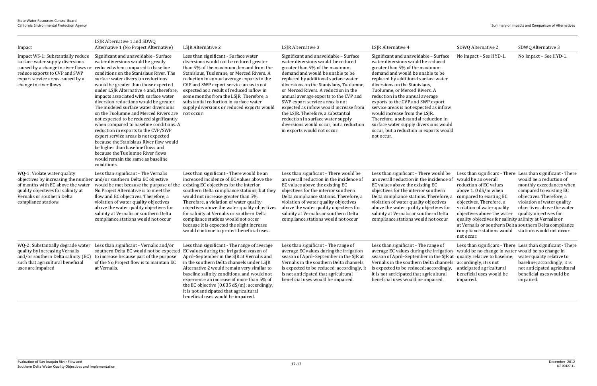| Impact                                                                                                                                                                                                     | LSJR Alternative 1 and SDWQ<br>Alternative 1 (No Project Alternative)                                                                                                                                                                                                                                                                                                                                                                                                                                                                                                                                                                                                                                                                                                                                  | LSJR Alternative 2                                                                                                                                                                                                                                                                                                                                                                                                                                                                                     | LSJR Alternative 3                                                                                                                                                                                                                                                                                                                                                                                                                                                                                                                                     | LSJR Alternative 4                                                                                                                                                                                                                                                                                                                                                                                                                                                                                                                                        | SDWQ Alternative 2                                                                                                                                                                                                                                                                                                                                         | SDWQ Alternative 3                                                                                                                                                                                                                                                                           |
|------------------------------------------------------------------------------------------------------------------------------------------------------------------------------------------------------------|--------------------------------------------------------------------------------------------------------------------------------------------------------------------------------------------------------------------------------------------------------------------------------------------------------------------------------------------------------------------------------------------------------------------------------------------------------------------------------------------------------------------------------------------------------------------------------------------------------------------------------------------------------------------------------------------------------------------------------------------------------------------------------------------------------|--------------------------------------------------------------------------------------------------------------------------------------------------------------------------------------------------------------------------------------------------------------------------------------------------------------------------------------------------------------------------------------------------------------------------------------------------------------------------------------------------------|--------------------------------------------------------------------------------------------------------------------------------------------------------------------------------------------------------------------------------------------------------------------------------------------------------------------------------------------------------------------------------------------------------------------------------------------------------------------------------------------------------------------------------------------------------|-----------------------------------------------------------------------------------------------------------------------------------------------------------------------------------------------------------------------------------------------------------------------------------------------------------------------------------------------------------------------------------------------------------------------------------------------------------------------------------------------------------------------------------------------------------|------------------------------------------------------------------------------------------------------------------------------------------------------------------------------------------------------------------------------------------------------------------------------------------------------------------------------------------------------------|----------------------------------------------------------------------------------------------------------------------------------------------------------------------------------------------------------------------------------------------------------------------------------------------|
| Impact WS-1: Substantially reduce<br>surface water supply diversions<br>caused by a change in river flows or<br>reduce exports to CVP and SWP<br>export service areas caused by a<br>change in river flows | Significant and unavoidable - Surface<br>water diversions would be greatly<br>reduced when compared to baseline<br>conditions on the Stanislaus River. The<br>surface water diversion reductions<br>would be greater than those expected<br>under LSJR Alternative 4 and, therefore,<br>impacts associated with surface water<br>diversion reductions would be greater.<br>The modeled surface water diversions<br>on the Tuolumne and Merced Rivers are<br>not expected to be reduced significantly<br>when compared to baseline conditions. A<br>reduction in exports to the CVP/SWP<br>export service areas is not expected<br>because the Stanislaus River flow would<br>be higher than baseline flows and<br>because the Tuolumne River flows<br>would remain the same as baseline<br>conditions. | Less than significant - Surface water<br>diversions would not be reduced greater<br>than 5% of the maximum demand from the<br>Stanislaus, Tuolumne, or Merced Rivers. A<br>reduction in annual average exports to the<br>CVP and SWP export service areas is not<br>expected as a result of reduced inflow in<br>some months from the LSJR. Therefore, a<br>substantial reduction in surface water<br>supply diversions or reduced exports would<br>not occur.                                         | Significant and unavoidable - Surface<br>water diversions would be reduced<br>greater than 5% of the maximum<br>demand and would be unable to be<br>replaced by additional surface water<br>diversions on the Stanislaus, Tuolumne,<br>or Merced Rivers. A reduction in the<br>annual average exports to the CVP and<br>SWP export service areas is not<br>expected as inflow would increase from<br>the LSJR. Therefore, a substantial<br>reduction in surface water supply<br>diversions would occur, but a reduction<br>in exports would not occur. | Significant and unavoidable - Surface<br>water diversions would be reduced<br>greater than 5% of the maximum<br>demand and would be unable to be<br>replaced by additional surface water<br>diversions on the Stanislaus,<br>Tuolumne, or Merced Rivers. A<br>reduction in the annual average<br>exports to the CVP and SWP export<br>service areas is not expected as inflow<br>would increase from the LSJR.<br>Therefore, a substantial reduction in<br>surface water supply diversions would<br>occur, but a reduction in exports would<br>not occur. | No Impact - See HYD-1.                                                                                                                                                                                                                                                                                                                                     | No Impact - See HYD-1.                                                                                                                                                                                                                                                                       |
| WQ-1: Violate water quality<br>of months with EC above the water<br>quality objectives for salinity at<br>Vernalis or southern Delta<br>compliance stations                                                | Less than significant - The Vernalis<br>objectives by increasing the number and/or southern Delta EC objective<br>would be met because the purpose of the existing EC objectives for the interior<br>No Project Alternative is to meet the<br>flow and EC objectives. Therefore, a<br>violation of water quality objectives<br>above the water quality objectives for<br>salinity at Vernalis or southern Delta<br>compliance stations would not occur                                                                                                                                                                                                                                                                                                                                                 | Less than significant - There would be an<br>increased incidence of EC values above the<br>southern Delta compliance stations; but they<br>would not increase greater than 5%.<br>Therefore, a violation of water quality<br>objectives above the water quality objectives<br>for salinity at Vernalis or southern Delta<br>compliance stations would not occur<br>because it is expected the slight increase<br>would continue to protect beneficial uses.                                            | Less than significant - There would be<br>an overall reduction in the incidence of<br>EC values above the existing EC<br>objectives for the interior southern<br>Delta compliance stations. Therefore, a<br>violation of water quality objectives<br>above the water quality objectives for<br>salinity at Vernalis or southern Delta<br>compliance stations would not occur                                                                                                                                                                           | Less than significant - There would be<br>an overall reduction in the incidence of<br>EC values above the existing EC<br>objectives for the interior southern<br>Delta compliance stations. Therefore, a<br>violation of water quality objectives<br>above the water quality objectives for<br>salinity at Vernalis or southern Delta<br>compliance stations would not occur                                                                                                                                                                              | would be an overall<br>reduction of EC values<br>above 1.0 $dS/m$ when<br>compared to existing EC<br>objectives. Therefore, a<br>violation of water quality<br>objectives above the water<br>quality objectives for salinity salinity at Vernalis or<br>at Vernalis or southern Delta southern Delta compliance<br>compliance stations would<br>not occur. | Less than significant - There Less than significant - There<br>would be a reduction of<br>monthly exceedances when<br>compared to existing EC<br>objectives. Therefore, a<br>violation of water quality<br>objectives above the water<br>quality objectives for<br>stations would not occur. |
| WQ-2: Substantially degrade water<br>quality by increasing Vernalis<br>and/or southern Delta salinity (EC)<br>such that agricultural beneficial<br>uses are impaired                                       | Less than significant - Vernalis and/or<br>to increase because part of the purpose<br>of the No Project flow is to maintain EC<br>at Vernalis.                                                                                                                                                                                                                                                                                                                                                                                                                                                                                                                                                                                                                                                         | Less than significant - The range of average<br>southern Delta EC would not be expected EC values during the irrigation season of<br>April-September in the SJR at Vernalis and<br>in the southern Delta channels under LSJR<br>Alternative 2 would remain very similar to<br>baseline salinity conditions, and would not<br>experience an increase of more than 5% of<br>the EC objective (0.035 dS/m); accordingly,<br>it is not anticipated that agricultural<br>beneficial uses would be impaired. | Less than significant - The range of<br>average EC values during the irrigation<br>season of April-September in the SJR at<br>Vernalis in the southern Delta channels<br>is expected to be reduced; accordingly, it<br>is not anticipated that agricultural<br>beneficial uses would be impaired.                                                                                                                                                                                                                                                      | Less than significant - The range of<br>average EC values during the irrigation<br>season of April-September in the SJR at quality relative to baseline;<br>Vernalis in the southern Delta channels accordingly, it is not<br>is expected to be reduced; accordingly,<br>it is not anticipated that agricultural<br>beneficial uses would be impaired.                                                                                                                                                                                                    | would be no change in water would be no change in<br>anticipated agricultural<br>beneficial uses would be<br>impaired.                                                                                                                                                                                                                                     | Less than significant - There Less than significant - There<br>water quality relative to<br>baseline; accordingly, it is<br>not anticipated agricultural<br>beneficial uses would be<br>impaired.                                                                                            |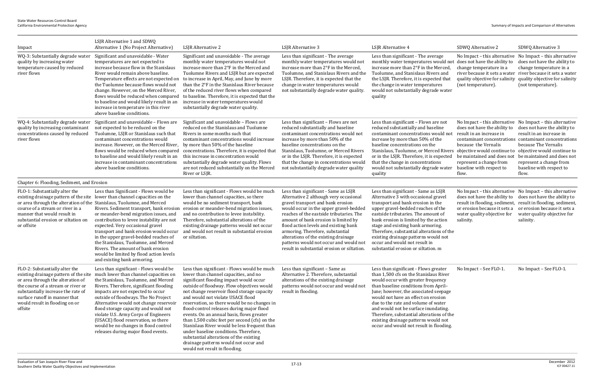| Impact                                                                                                                                                                                                                                                                 | LSJR Alternative 1 and SDWQ<br>Alternative 1 (No Project Alternative)                                                                                                                                                                                                                                                                                                                                                                                                                           | LSJR Alternative 2                                                                                                                                                                                                                                                                                                                                                                                                                                                                                                                                                                                                                                                         | LSJR Alternative 3                                                                                                                                                                                                                                                                                                                                                                                                                                              | LSJR Alternative 4                                                                                                                                                                                                                                                                                                                                                                                                                                           | SDWQ Alternative 2                                                                                                                                                                                                                                                                                     | SDWQ Alternative 3                                                                                                                                                                                                                      |
|------------------------------------------------------------------------------------------------------------------------------------------------------------------------------------------------------------------------------------------------------------------------|-------------------------------------------------------------------------------------------------------------------------------------------------------------------------------------------------------------------------------------------------------------------------------------------------------------------------------------------------------------------------------------------------------------------------------------------------------------------------------------------------|----------------------------------------------------------------------------------------------------------------------------------------------------------------------------------------------------------------------------------------------------------------------------------------------------------------------------------------------------------------------------------------------------------------------------------------------------------------------------------------------------------------------------------------------------------------------------------------------------------------------------------------------------------------------------|-----------------------------------------------------------------------------------------------------------------------------------------------------------------------------------------------------------------------------------------------------------------------------------------------------------------------------------------------------------------------------------------------------------------------------------------------------------------|--------------------------------------------------------------------------------------------------------------------------------------------------------------------------------------------------------------------------------------------------------------------------------------------------------------------------------------------------------------------------------------------------------------------------------------------------------------|--------------------------------------------------------------------------------------------------------------------------------------------------------------------------------------------------------------------------------------------------------------------------------------------------------|-----------------------------------------------------------------------------------------------------------------------------------------------------------------------------------------------------------------------------------------|
| WQ-3: Substantially degrade water<br>quality by increasing water<br>temperature caused by reduced<br>river flows                                                                                                                                                       | Significant and unavoidable - Water<br>temperatures are not expected to<br>increase because flow in the Stanislaus<br>River would remain above baseline.<br>the Tuolumne because flows would not<br>change. However, on the Merced River,<br>flows would be reduced when compared<br>to baseline and would likely result in an<br>increase in temperature in this river<br>above baseline conditions.                                                                                           | Significant and unavoidable - The average<br>monthly water temperatures would not<br>increase more than 2°F in the Merced and<br>Tuolumne Rivers and LSJR but are expected<br>Temperature effects are not expected on to increase in April, May, and June by more<br>than the 2°F in the Stanislaus River because<br>of the reduced river flows when compared<br>to baseline. Therefore, it is expected that the<br>increase in water temperatures would<br>substantially degrade water quality.                                                                                                                                                                           | Less than significant - The average<br>monthly water temperatures would not<br>increase more than 2°F in the Merced,<br>Tuolumne, and Stanislaus Rivers and the<br>LSJR. Therefore, it is expected that the<br>change in water temperatures would<br>not substantially degrade water quality.                                                                                                                                                                   | Less than significant - The average<br>monthly water temperatures would not<br>increase more than 2°F in the Merced.<br>Tuolumne, and Stanislaus Rivers and<br>the LSJR. Therefore, it is expected that<br>the change in water temperatures<br>would not substantially degrade water<br>quality                                                                                                                                                              | No Impact - this alternative<br>does not have the ability to<br>change temperature in a<br>river because it sets a water river because it sets a water<br>quality objective for salinity<br>(not temperature).                                                                                         | No Impact - this alternative<br>does not have the ability to<br>change temperature in a<br>quality objective for salinity<br>(not temperature).                                                                                         |
| WQ-4: Substantially degrade water<br>quality by increasing contaminant<br>concentrations caused by reduced<br>river flows                                                                                                                                              | Significant and unavoidable - Flows are<br>not expected to be reduced on the<br>Tuolumne, LSJR or Stanislaus such that<br>contaminant concentrations would<br>increase. However, on the Merced River,<br>flows would be reduced when compared<br>to baseline and would likely result in an<br>increase in contaminant concentrations<br>above baseline conditions.                                                                                                                              | Significant and unavoidable - Flows are<br>reduced on the Stanislaus and Tuolumne<br>Rivers in some months such that<br>contaminant concentrations would increase<br>by more than 50% of the baseline<br>concentrations. Therefore, it is expected that<br>this increase in concentration would<br>substantially degrade water quality. Flows<br>are not reduced substantially on the Merced<br>River or LSJR.                                                                                                                                                                                                                                                             | Less than significant - Flows are not<br>reduced substantially and baseline<br>contaminant concentrations would not<br>increase by more than 50% of the<br>baseline concentrations on the<br>Stanislaus, Tuolumne, or Merced Rivers<br>or in the LSJR. Therefore, it is expected<br>that the change in concentrations would<br>not substantially degrade water quality                                                                                          | Less than significant - Flows are not<br>reduced substantially and baseline<br>contaminant concentrations would not<br>increase by more than 50% of the<br>baseline concentrations on the<br>Stanislaus, Tuolumne, or Merced Rivers<br>or in the LSJR. Therefore, it is expected<br>that the change in concentrations<br>would not substantially degrade water<br>quality                                                                                    | No Impact - this alternative No Impact - this alternative<br>does not have the ability to<br>result in an increase in<br>because the Vernalis<br>objective would continue to objective would continue to<br>be maintained and does not<br>represent a change from<br>baseline with respect to<br>flow. | does not have the ability to<br>result in an increase in<br>contaminant concentrations contaminant concentrations<br>because The Vernalis<br>be maintained and does not<br>represent a change from<br>baseline with respect to<br>flow. |
| Chapter 6: Flooding, Sediment, and Erosion                                                                                                                                                                                                                             |                                                                                                                                                                                                                                                                                                                                                                                                                                                                                                 |                                                                                                                                                                                                                                                                                                                                                                                                                                                                                                                                                                                                                                                                            |                                                                                                                                                                                                                                                                                                                                                                                                                                                                 |                                                                                                                                                                                                                                                                                                                                                                                                                                                              |                                                                                                                                                                                                                                                                                                        |                                                                                                                                                                                                                                         |
| FLO-1: Substantially alter the<br>or area through the alteration of the Stanislaus, Tuolumne, and Merced<br>course of a stream or river in a<br>manner that would result in<br>substantial erosion or siltation on<br>or offsite                                       | Less than Significant - Flows would be<br>existing drainage pattern of the site lower than channel capacities on the<br>or meander-bend migration issues, and<br>contribution to levee instability are not<br>expected. Very occasional gravel<br>transport and bank erosion would occur<br>in the upper gravel-bedded reaches of<br>the Stanislaus, Tuolumne, and Merced<br>Rivers. The amount of bank erosion<br>would be limited by flood action levels<br>and existing bank armoring.       | Less than significant - Flows would be much<br>lower than channel capacities, so there<br>would be no sediment transport, bank<br>Rivers. Sediment transport, bank erosion erosion or meander-bend migration issues,<br>and no contribution to levee instability.<br>Therefore, substantial alterations of the<br>existing drainage patterns would not occur<br>and would not result in substantial erosion<br>or siltation.                                                                                                                                                                                                                                               | Less than significant - Same as LSJR<br>Alternative 2 although very occasional<br>gravel transport and bank erosion<br>would occur in the upper gravel-bedded<br>reaches of the eastside tributaries. The<br>amount of bank erosion is limited by<br>flood action levels and existing bank<br>armoring. Therefore, substantial<br>alterations of the existing drainage<br>patterns would not occur and would not<br>result in substantial erosion or siltation. | Less than significant - Same as LSJR<br>Alternative 3 with occasional gravel<br>transport and bank erosion in the<br>upper gravel-bedded reaches of the<br>eastside tributaries. The amount of<br>bank erosion is limited by the action<br>stage and existing bank armoring.<br>Therefore, substantial alterations of the<br>existing drainage patterns would not<br>occur and would not result in<br>substantial erosion or siltation. m                    | No Impact – this alternative No Impact – this alternative<br>does not have the ability to<br>result in flooding, sediment, result in flooding, sediment<br>or erosion because it sets a<br>water quality objective for<br>salinity.                                                                    | does not have the ability to<br>or erosion because it sets a<br>water quality objective for<br>salinity.                                                                                                                                |
| FLO-2: Substantially alter the<br>existing drainage pattern of the site<br>or area through the alteration of<br>the course of a stream or river or<br>substantially increase the rate of<br>surface runoff in manner that<br>would result in flooding on or<br>offsite | Less than significant - Flows would be<br>much lower than channel capacities on<br>the Stanislaus, Tuolumne, and Merced<br>Rivers. Therefore, significant flooding<br>impacts are not expected to occur<br>outside of floodways. The No Project<br>Alternative would not change reservoir<br>flood storage capacity and would not<br>violate U.S. Army Corps of Engineers<br>(USACE) flood reservation, so there<br>would be no changes in flood control<br>releases during major flood events. | Less than significant - Flows would be much<br>lower than channel capacities, and no<br>significant flooding impact would occur<br>outside of floodway. Flow objectives would<br>not change reservoir flood storage capacity<br>and would not violate USACE flood<br>reservation, so there would be no changes in<br>flood-control releases during major flood<br>events. On an annual basis, flows greater<br>than 1,500 cubic feet per second (cfs) on the<br>Stanislaus River would be less frequent than<br>under baseline conditions. Therefore,<br>substantial alterations of the existing<br>drainage patterns would not occur and<br>would not result in flooding. | Less than significant - Same as<br>Alternative 2. Therefore, substantial<br>alterations of the existing drainage<br>patterns would not occur and would not<br>result in flooding.                                                                                                                                                                                                                                                                               | Less than significant - Flows greater<br>than 1,500 cfs on the Stanislaus River<br>would occur with greater frequency<br>than baseline conditions from April-<br>June; however, the associated seepage<br>would not have an effect on erosion<br>due to the rate and volume of water<br>and would not be surface inundating.<br>Therefore, substantial alterations of the<br>existing drainage patterns would not<br>occur and would not result in flooding. | No Impact - See FLO-1.                                                                                                                                                                                                                                                                                 | No Impact - See FLO-1.                                                                                                                                                                                                                  |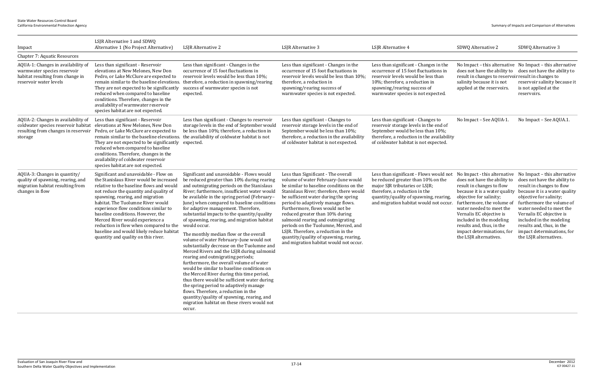| Impact                                                                                                                          | LSJR Alternative 1 and SDWQ<br>Alternative 1 (No Project Alternative)                                                                                                                                                                                                                                                                                                                                                                                                                         | LSJR Alternative 2                                                                                                                                                                                                                                                                                                                                                                                                                                                                                                                                                                                                                                                                                                                                                                                                                                                                                                                                                                                                                            | LSJR Alternative 3                                                                                                                                                                                                                                                                                                                                                                                                                                                                                                              | LSJR Alternative 4                                                                                                                                                                                                                   | SDWQ Alternative 2                                                                                                                                                                                                                                                                                                                                                                        | SDWQ Alternative 3                                                                                                                                                                                                                                                                                                          |
|---------------------------------------------------------------------------------------------------------------------------------|-----------------------------------------------------------------------------------------------------------------------------------------------------------------------------------------------------------------------------------------------------------------------------------------------------------------------------------------------------------------------------------------------------------------------------------------------------------------------------------------------|-----------------------------------------------------------------------------------------------------------------------------------------------------------------------------------------------------------------------------------------------------------------------------------------------------------------------------------------------------------------------------------------------------------------------------------------------------------------------------------------------------------------------------------------------------------------------------------------------------------------------------------------------------------------------------------------------------------------------------------------------------------------------------------------------------------------------------------------------------------------------------------------------------------------------------------------------------------------------------------------------------------------------------------------------|---------------------------------------------------------------------------------------------------------------------------------------------------------------------------------------------------------------------------------------------------------------------------------------------------------------------------------------------------------------------------------------------------------------------------------------------------------------------------------------------------------------------------------|--------------------------------------------------------------------------------------------------------------------------------------------------------------------------------------------------------------------------------------|-------------------------------------------------------------------------------------------------------------------------------------------------------------------------------------------------------------------------------------------------------------------------------------------------------------------------------------------------------------------------------------------|-----------------------------------------------------------------------------------------------------------------------------------------------------------------------------------------------------------------------------------------------------------------------------------------------------------------------------|
| <b>Chapter 7: Aquatic Resources</b>                                                                                             |                                                                                                                                                                                                                                                                                                                                                                                                                                                                                               |                                                                                                                                                                                                                                                                                                                                                                                                                                                                                                                                                                                                                                                                                                                                                                                                                                                                                                                                                                                                                                               |                                                                                                                                                                                                                                                                                                                                                                                                                                                                                                                                 |                                                                                                                                                                                                                                      |                                                                                                                                                                                                                                                                                                                                                                                           |                                                                                                                                                                                                                                                                                                                             |
| AQUA-1: Changes in availability of<br>warmwater species reservoir<br>habitat resulting from change in<br>reservoir water levels | Less than significant - Reservoir<br>elevations at New Melones, New Don<br>Pedro, or Lake McClure are expected to<br>remain similar to the baseline elevations.<br>They are not expected to be significantly<br>reduced when compared to baseline<br>conditions. Therefore, changes in the<br>availability of warmwater reservoir<br>species habitat are not expected.                                                                                                                        | Less than significant - Changes in the<br>occurrence of 15 foot fluctuations in<br>reservoir levels would be less than 10%;<br>therefore, a reduction in spawning/rearing<br>success of warmwater species is not<br>expected.                                                                                                                                                                                                                                                                                                                                                                                                                                                                                                                                                                                                                                                                                                                                                                                                                 | Less than significant - Changes in the<br>occurrence of 15 foot fluctuations in<br>reservoir levels would be less than 10%;<br>therefore, a reduction in<br>spawning/rearing success of<br>warmwater species is not expected.                                                                                                                                                                                                                                                                                                   | Less than significant - Changes in the<br>occurrence of 15 foot fluctuations in<br>reservoir levels would be less than<br>10%; therefore, a reduction in<br>spawning/rearing success of<br>warmwater species is not expected.        | No Impact - this alternative No Impact - this alternative<br>does not have the ability to<br>result in changes to reservoir result in changes to<br>salinity because it is not<br>applied at the reservoirs.                                                                                                                                                                              | does not have the ability to<br>reservoir salinity because it<br>is not applied at the<br>reservoirs.                                                                                                                                                                                                                       |
| AQUA-2: Changes in availability of<br>coldwater species reservoir habitat<br>resulting from changes in reservoir<br>storage     | Less than significant - Reservoir<br>elevations at New Melones, New Don<br>Pedro, or Lake McClure are expected to<br>remain similar to the baseline elevations.<br>They are not expected to be significantly expected.<br>reduced when compared to baseline<br>conditions. Therefore, changes in the<br>availability of coldwater reservoir<br>species habitat are not expected.                                                                                                              | Less than significant - Changes to reservoir<br>storage levels in the end of September would<br>be less than 10%; therefore, a reduction in<br>the availability of coldwater habitat is not                                                                                                                                                                                                                                                                                                                                                                                                                                                                                                                                                                                                                                                                                                                                                                                                                                                   | Less than significant - Changes to<br>reservoir storage levels in the end of<br>September would be less than 10%;<br>therefore, a reduction in the availability<br>of coldwater habitat is not expected.                                                                                                                                                                                                                                                                                                                        | Less than significant - Changes to<br>reservoir storage levels in the end of<br>September would be less than 10%;<br>therefore, a reduction in the availability<br>of coldwater habitat is not expected.                             | No Impact - See AQUA-1.                                                                                                                                                                                                                                                                                                                                                                   | No Impact - See AQUA.1.                                                                                                                                                                                                                                                                                                     |
| AQUA-3: Changes in quantity/<br>quality of spawning, rearing, and<br>migration habitat resulting from<br>changes in flow        | Significant and unavoidable - Flow on<br>the Stanislaus River would be increased<br>relative to the baseline flows and would<br>not reduce the quantity and quality of<br>spawning, rearing, and migration<br>habitat. The Tuolumne River would<br>experience flow conditions similar to<br>baseline conditions. However, the<br>Merced River would experience a<br>reduction in flow when compared to the<br>baseline and would likely reduce habitat<br>quantity and quality on this river. | Significant and unavoidable - Flows would<br>be reduced greater than 10% during rearing<br>and outmigrating periods on the Stanislaus<br>River; furthermore, insufficient water would<br>be available in the spring period (February-<br>June) when compared to baseline conditions<br>for adaptive management. Therefore,<br>substantial impacts to the quantity/quality<br>of spawning, rearing, and migration habitat<br>would occur.<br>The monthly median flow or the overall<br>volume of water February-June would not<br>substantially decrease on the Tuolumne and<br>Merced Rivers and the LSJR during salmonid<br>rearing and outmigrating periods;<br>furthermore, the overall volume of water<br>would be similar to baseline conditions on<br>the Merced River during this time period,<br>thus there would be sufficient water during<br>the spring period to adaptively manage<br>flows. Therefore, a reduction in the<br>quantity/quality of spawning, rearing, and<br>migration habitat on these rivers would not<br>occur. | Less than Significant - The overall<br>volume of water February-June would<br>be similar to baseline conditions on the<br>Stanislaus River; therefore, there would<br>be sufficient water during the spring<br>period to adaptively manage flows.<br>Furthermore, flows would not be<br>reduced greater than 10% during<br>salmonid rearing and outmigrating<br>periods on the Tuolumne, Merced, and<br>LSJR. Therefore, a reduction in the<br>quantity/quality of spawning, rearing,<br>and migration habitat would not occur. | Less than significant - Flows would not<br>be reduced greater than 10% on the<br>major SJR tributaries or LSJR;<br>therefore, a reduction in the<br>quantity/quality of spawning, rearing,<br>and migration habitat would not occur. | No Impact - this alternative No Impact - this alternative<br>does not have the ability to<br>result in changes to flow<br>because it is a water quality<br>objective for salinity;<br>furthermore, the volume of<br>water needed to meet the<br>Vernalis EC objective is<br>included in the modeling<br>results and, thus, in the<br>impact determinations, for<br>the LSJR alternatives. | does not have the ability to<br>result in changes to flow<br>because it is a water quality<br>objective for salinity;<br>furthermore the volume of<br>water needed to meet the<br>Vernalis EC objective is<br>included in the modeling<br>results and, thus, in the<br>impact determinations, for<br>the LSJR alternatives. |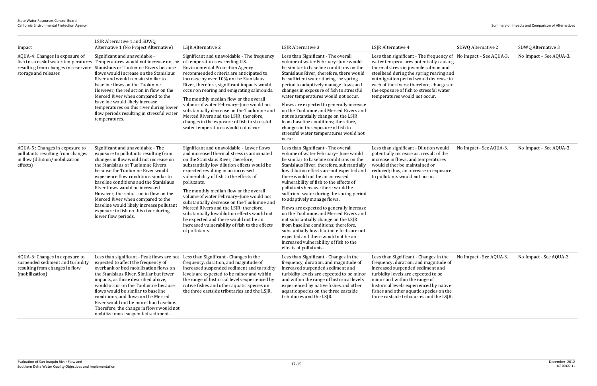| Impact                                                                                                                 | LSJR Alternative 1 and SDWQ<br>Alternative 1 (No Project Alternative)                                                                                                                                                                                                                                                                                                                                                                                                                                                          | LSJR Alternative 2                                                                                                                                                                                                                                                                                                                                                                                                                                                                                                                                                                                                       | LSJR Alternative 3                                                                                                                                                                                                                                                                                                                                                                                                                                                                                                                                                                                                                                                                                                                            | LSJR Alternative 4                                                                                                                                                                                                                                                                                                                                               | SDWQ Alternative 2      | SDWQ Alternative 3      |
|------------------------------------------------------------------------------------------------------------------------|--------------------------------------------------------------------------------------------------------------------------------------------------------------------------------------------------------------------------------------------------------------------------------------------------------------------------------------------------------------------------------------------------------------------------------------------------------------------------------------------------------------------------------|--------------------------------------------------------------------------------------------------------------------------------------------------------------------------------------------------------------------------------------------------------------------------------------------------------------------------------------------------------------------------------------------------------------------------------------------------------------------------------------------------------------------------------------------------------------------------------------------------------------------------|-----------------------------------------------------------------------------------------------------------------------------------------------------------------------------------------------------------------------------------------------------------------------------------------------------------------------------------------------------------------------------------------------------------------------------------------------------------------------------------------------------------------------------------------------------------------------------------------------------------------------------------------------------------------------------------------------------------------------------------------------|------------------------------------------------------------------------------------------------------------------------------------------------------------------------------------------------------------------------------------------------------------------------------------------------------------------------------------------------------------------|-------------------------|-------------------------|
| AQUA-4: Changes in exposure of<br>resulting from changes in reservoir<br>storage and releases                          | Significant and unavoidable -<br>fish to stressful water temperatures Temperatures would not increase on the of temperatures exceeding U.S.<br>Stanislaus or Tuolumne Rivers because<br>flows would increase on the Stanislaus<br>River and would remain similar to<br>baseline flows on the Tuolumne<br>However, the reduction in flow on the<br>Merced River when compared to the<br>baseline would likely increase<br>temperatures on this river during lower<br>flow periods resulting in stressful water<br>temperatures. | Significant and unavoidable - The frequency<br><b>Environmental Protection Agency</b><br>recommended criteria are anticipated to<br>increase by over 10% on the Stanislaus<br>River, therefore, significant impacts would<br>occur on rearing and emigrating salmonids.<br>The monthly median flow or the overall<br>volume of water February-June would not<br>substantially decrease on the Tuolumne and<br>Merced Rivers and the LSJR; therefore,<br>changes in the exposure of fish to stressful<br>water temperatures would not occur.                                                                              | Less than Significant - The overall<br>volume of water February-June would<br>be similar to baseline conditions on the<br>Stanislaus River; therefore, there would<br>be sufficient water during the spring<br>period to adaptively manage flows and<br>changes in exposure of fish to stressful<br>water temperatures would not occur.<br>Flows are expected to generally increase<br>on the Tuolumne and Merced Rivers and<br>not substantially change on the LSJR<br>from baseline conditions; therefore,<br>changes in the exposure of fish to<br>stressful water temperatures would not<br>occur.                                                                                                                                        | Less than significant - The frequency of No Impact - See AQUA-3.<br>water temperatures potentially causing<br>thermal stress in juvenile salmon and<br>steelhead during the spring rearing and<br>outmigration period would decrease in<br>each of the rivers; therefore, changes in<br>the exposure of fish to stressful water<br>temperatures would not occur. |                         | No Impact - See AQUA-3. |
| AQUA-5 : Changes in exposure to<br>pollutants resulting from changes<br>in flow (dilution/mobilization<br>effects)     | Significant and unavoidable - The<br>exposure to pollutants resulting from<br>changes in flow would not increase on<br>the Stanislaus or Tuolumne Rivers<br>because the Tuolumne River would<br>experience flow conditions similar to<br>baseline conditions and the Stanislaus<br>River flows would be increased<br>However, the reduction in flow on the<br>Merced River when compared to the<br>baseline would likely increase pollutan<br>exposure to fish on this river during<br>lower flow periods.                     | Significant and unavoidable - Lower flows<br>and increased thermal stress is anticipated<br>on the Stanislaus River, therefore,<br>substantially low dilution effects would be<br>expected resulting in an increased<br>vulnerability of fish to the effects of<br>pollutants.<br>The monthly median flow or the overall<br>volume of water February-June would not<br>substantially decrease on the Tuolumne and<br>Merced Rivers and the LSJR; therefore,<br>substantially low dilution effects would not<br>be expected and there would not be an<br>increased vulnerability of fish to the effects<br>of pollutants. | Less than Significant - The overall<br>volume of water February-June would<br>be similar to baseline conditions on the<br>Stanislaus River; therefore, substantially<br>low dilution effects are not expected and<br>there would not be an increased<br>vulnerability of fish to the effects of<br>pollutants because there would be<br>sufficient water during the spring period<br>to adaptively manage flows.<br>Flows are expected to generally increase<br>on the Tuolumne and Merced Rivers and<br>not substantially change on the LSJR<br>from baseline conditions; therefore,<br>substantially low dilution effects are not<br>expected and there would not be an<br>increased vulnerability of fish to the<br>effects of pollutants. | Less than significant - Dilution would<br>potentially increase as a result of the<br>increase in flows, and temperatures<br>would either be maintained or<br>reduced; thus, an increase in exposure<br>to pollutants would not occur.                                                                                                                            | No Impact-See AQUA-3.   | No Impact - See AQUA-3. |
| AQUA-6: Changes in exposure to<br>suspended sediment and turbidity<br>resulting from changes in flow<br>(mobilization) | Less than significant - Peak flows are not Less than Significant - Changes in the<br>expected to affect the frequency of<br>overbank or bed mobilization flows on<br>the Stanislaus River. Similar but fewer<br>impacts, as those described above,<br>would occur on the Tuolumne because<br>flows would be similar to baseline<br>conditions, and flows on the Merced<br>River would not be more than baseline.<br>Therefore, the change in flows would not<br>mobilize more suspended sediment.                              | frequency, duration, and magnitude of<br>increased suspended sediment and turbidity<br>levels are expected to be minor and within<br>the range of historical levels experienced by<br>native fishes and other aquatic species on<br>the three eastside tributaries and the LSJR.                                                                                                                                                                                                                                                                                                                                         | Less than Significant - Changes in the<br>frequency, duration, and magnitude of<br>increased suspended sediment and<br>turbidity levels are expected to be minor<br>and within the range of historical levels<br>experienced by native fishes and other<br>aquatic species on the three eastside<br>tributaries and the LSJR.                                                                                                                                                                                                                                                                                                                                                                                                                 | Less than Significant - Changes in the<br>frequency, duration, and magnitude of<br>increased suspended sediment and<br>turbidity levels are expected to be<br>minor and within the range of<br>historical levels experienced by native<br>fishes and other aquatic species on the<br>three eastside tributaries and the LSJR.                                    | No Impact - See AQUA-3. | No Impact - See AQUA-3  |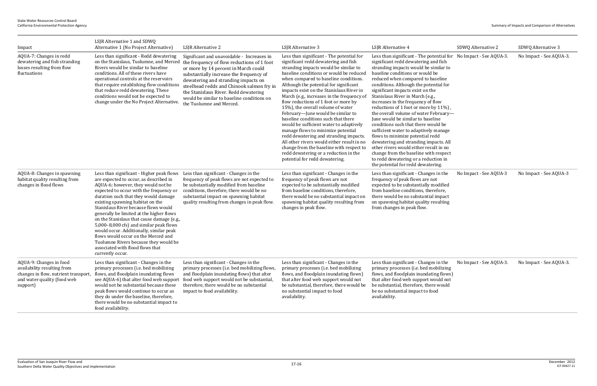| Impact                                                                                                                                    | LSJR Alternative 1 and SDWQ<br>Alternative 1 (No Project Alternative)                                                                                                                                                                                                                                                                                                                                                                                                                                                                                                                                            | LSJR Alternative 2                                                                                                                                                                                                                                                                                                                                                                 | LSJR Alternative 3                                                                                                                                                                                                                                                                                                                                                                                                                                                                                                                                                                                                                                                                                                                                                                                          | LSJR Alternative 4                                                                                                                                                                                                                                                                                                                                                                                                                                                                                                                                                                                                                                                                                                                                                                                                                      | SDWQ Alternative 2      | SDWQ Alternative 3      |
|-------------------------------------------------------------------------------------------------------------------------------------------|------------------------------------------------------------------------------------------------------------------------------------------------------------------------------------------------------------------------------------------------------------------------------------------------------------------------------------------------------------------------------------------------------------------------------------------------------------------------------------------------------------------------------------------------------------------------------------------------------------------|------------------------------------------------------------------------------------------------------------------------------------------------------------------------------------------------------------------------------------------------------------------------------------------------------------------------------------------------------------------------------------|-------------------------------------------------------------------------------------------------------------------------------------------------------------------------------------------------------------------------------------------------------------------------------------------------------------------------------------------------------------------------------------------------------------------------------------------------------------------------------------------------------------------------------------------------------------------------------------------------------------------------------------------------------------------------------------------------------------------------------------------------------------------------------------------------------------|-----------------------------------------------------------------------------------------------------------------------------------------------------------------------------------------------------------------------------------------------------------------------------------------------------------------------------------------------------------------------------------------------------------------------------------------------------------------------------------------------------------------------------------------------------------------------------------------------------------------------------------------------------------------------------------------------------------------------------------------------------------------------------------------------------------------------------------------|-------------------------|-------------------------|
| AQUA-7: Changes in redd<br>dewatering and fish stranding<br>losses resulting from flow<br>fluctuations                                    | Less than significant - Redd dewatering<br>on the Stanislaus, Tuolumne, and Merced<br>Rivers would be similar to baseline<br>conditions. All of these rivers have<br>operational controls at the reservoirs<br>that require establishing flow conditions<br>that reduce redd dewatering. These<br>conditions would not be expected to<br>change under the No Project Alternative.                                                                                                                                                                                                                                | Significant and unavoidable - Increases in<br>the frequency of flow reductions of 1 foot<br>or more by 14 percent in March could<br>substantially increase the frequency of<br>dewatering and stranding impacts on<br>steelhead redds and Chinook salmon fry in<br>the Stanislaus River. Redd dewatering<br>would be similar to baseline conditions on<br>the Tuolumne and Merced. | Less than significant - The potential for<br>significant redd dewatering and fish<br>stranding impacts would be similar to<br>baseline conditions or would be reduced<br>when compared to baseline conditions.<br>Although the potential for significant<br>impacts exist on the Stanislaus River in<br>March (e.g., increases in the frequency of<br>flow reductions of 1 foot or more by<br>15%), the overall volume of water<br>February-June would be similar to<br>baseline conditions such that there<br>would be sufficient water to adaptively<br>manage flows to minimize potential<br>redd dewatering and stranding impacts.<br>All other rivers would either result in no<br>change from the baseline with respect to<br>redd dewatering or a reduction in the<br>potential for redd dewatering. | Less than significant - The potential for No Impact - See AQUA-3.<br>significant redd dewatering and fish<br>stranding impacts would be similar to<br>baseline conditions or would be<br>reduced when compared to baseline<br>conditions. Although the potential for<br>significant impacts exist on the<br>Stanislaus River in March (e.g.,<br>increases in the frequency of flow<br>reductions of 1 foot or more by 11%),<br>the overall volume of water February-<br>June would be similar to baseline<br>conditions such that there would be<br>sufficient water to adaptively manage<br>flows to minimize potential redd<br>dewatering and stranding impacts. All<br>other rivers would either result in no<br>change from the baseline with respect<br>to redd dewatering or a reduction in<br>the potential for redd dewatering. |                         | No Impact - See AQUA-3. |
| AQUA-8: Changes in spawning<br>habitat quality resulting from<br>changes in flood flows                                                   | Less than significant - Higher peak flows<br>are expected to occur, as described in<br>AQUA-6; however, they would not be<br>expected to occur with the frequency or<br>duration such that they would damage<br>existing spawning habitat on the<br>Stanislaus River because flows would<br>generally be limited at the higher flows<br>on the Stanislaus that cause damage (e.g.,<br>5,000-8,000 cfs) and similar peak flows<br>would occur. Additionally, similar peak<br>flows would occur on the Merced and<br>Tuolumne Rivers because they would be<br>associated with flood flows that<br>currently occur. | Less than significant - Changes in the<br>frequency of peak flows are not expected to<br>be substantially modified from baseline<br>conditions, therefore, there would be no<br>substantial impact on spawning habitat<br>quality resulting from changes in peak flow.                                                                                                             | Less than significant - Changes in the<br>frequency of peak flows are not<br>expected to be substantially modified<br>from baseline conditions, therefore,<br>there would be no substantial impact on<br>spawning habitat quality resulting from<br>changes in peak flow.                                                                                                                                                                                                                                                                                                                                                                                                                                                                                                                                   | Less than significant - Changes in the<br>frequency of peak flows are not<br>expected to be substantially modified<br>from baseline conditions, therefore,<br>there would be no substantial impact<br>on spawning habitat quality resulting<br>from changes in peak flow.                                                                                                                                                                                                                                                                                                                                                                                                                                                                                                                                                               | No Impact - See AQUA-3  | No Impact - See AQUA-3  |
| AQUA-9: Changes in food<br>availability resulting from<br>changes in flow, nutrient transport,<br>and water quality (food web<br>support) | Less than significant - Changes in the<br>primary processes (i.e. bed mobilizing<br>flows, and floodplain inundating flows<br>see AQUA-6) that alter food web support<br>would not be substantial because these<br>peak flows would continue to occur as<br>they do under the baseline, therefore,<br>there would be no substantial impact to<br>food availability.                                                                                                                                                                                                                                              | Less than significant - Changes in the<br>primary processes (i.e. bed mobilizing flows,<br>and floodplain inundating flows) that alter<br>food web support would not be substantial,<br>therefore, there would be no substantial<br>impact to food availability.                                                                                                                   | Less than significant - Changes in the<br>primary processes (i.e. bed mobilizing<br>flows, and floodplain inundating flows)<br>that alter food web support would not<br>be substantial, therefore, there would be<br>no substantial impact to food<br>availability.                                                                                                                                                                                                                                                                                                                                                                                                                                                                                                                                         | Less than significant - Changes in the<br>primary processes (i.e. bed mobilizing<br>flows, and floodplain inundating flows)<br>that alter food web support would not<br>be substantial, therefore, there would<br>be no substantial impact to food<br>availability.                                                                                                                                                                                                                                                                                                                                                                                                                                                                                                                                                                     | No Impact - See AQUA-3. | No Impact - See AQUA-3. |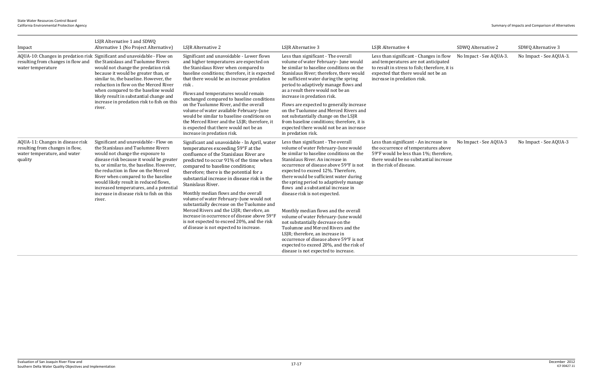No Impact - See AQUA-3.

ase in s above nerefore, No Impact - See AQUA-3 No Impact - See AQUA-3

| Impact                                                                                                         | LSJR Alternative 1 and SDWQ<br>Alternative 1 (No Project Alternative)                                                                                                                                                                                                                                                                                                                                                            | LSJR Alternative 2                                                                                                                                                                                                                                                                                                                                                                                                                                                                                                                                                                                                                                  | LSJR Alternative 3                                                                                                                                                                                                                                                                                                                                                                                                                                                                                                                                                                                                                                                                                                                 | LSJR Alternative 4                                                                                                                                                                                     | SDWQ Alternative 2      | SDWQ Alternative 3  |
|----------------------------------------------------------------------------------------------------------------|----------------------------------------------------------------------------------------------------------------------------------------------------------------------------------------------------------------------------------------------------------------------------------------------------------------------------------------------------------------------------------------------------------------------------------|-----------------------------------------------------------------------------------------------------------------------------------------------------------------------------------------------------------------------------------------------------------------------------------------------------------------------------------------------------------------------------------------------------------------------------------------------------------------------------------------------------------------------------------------------------------------------------------------------------------------------------------------------------|------------------------------------------------------------------------------------------------------------------------------------------------------------------------------------------------------------------------------------------------------------------------------------------------------------------------------------------------------------------------------------------------------------------------------------------------------------------------------------------------------------------------------------------------------------------------------------------------------------------------------------------------------------------------------------------------------------------------------------|--------------------------------------------------------------------------------------------------------------------------------------------------------------------------------------------------------|-------------------------|---------------------|
| resulting from changes in flow and<br>water temperature                                                        | AQUA-10: Changes in predation risk Significant and unavoidable - Flow on<br>the Stanislaus and Tuolumne Rivers<br>would not change the predation risk<br>because it would be greater than, or<br>similar to, the baseline. However, the<br>reduction in flow on the Merced River<br>when compared to the baseline would<br>likely result in substantial change and<br>increase in predation risk to fish on this<br>river.       | Significant and unavoidable - Lower flows<br>and higher temperatures are expected on<br>the Stanislaus River when compared to<br>baseline conditions; therefore, it is expected<br>that there would be an increase predation<br>risk.<br>Flows and temperatures would remain<br>unchanged compared to baseline conditions<br>on the Tuolumne River, and the overall<br>volume of water available February-June<br>would be similar to baseline conditions on<br>the Merced River and the LSJR; therefore, it<br>is expected that there would not be an<br>increase in predation risk.                                                               | Less than significant - The overall<br>volume of water February-June would<br>be similar to baseline conditions on the<br>Stanislaus River; therefore, there would<br>be sufficient water during the spring<br>period to adaptively manage flows and<br>as a result there would not be an<br>increase in predation risk.<br>Flows are expected to generally increase<br>on the Tuolumne and Merced Rivers and<br>not substantially change on the LSJR<br>from baseline conditions; therefore, it is<br>expected there would not be an increase<br>in predation risk.                                                                                                                                                               | Less than significant - Changes in flow<br>and temperatures are not anticipated<br>to result in stress to fish; therefore, it is<br>expected that there would not be an<br>increase in predation risk. | No Impact - See AQUA-3. | No Impact - See AQU |
| AQUA-11: Changes in disease risk<br>resulting from changes in flow,<br>water temperature, and water<br>quality | Significant and unavoidable - Flow on<br>the Stanislaus and Tuolumne Rivers<br>would not change the exposure to<br>disease risk because it would be greater<br>to, or similar to, the baseline. However,<br>the reduction in flow on the Merced<br>River when compared to the baseline<br>would likely result in reduced flows,<br>increased temperatures, and a potential<br>increase in disease risk to fish on this<br>river. | Significant and unavoidable - In April, water<br>temperatures exceeding 59°F at the<br>confluence of the Stanislaus River are<br>predicted to occur 91% of the time when<br>compared to baseline conditions;<br>therefore; there is the potential for a<br>substantial increase in disease risk in the<br>Stanislaus River.<br>Monthly median flows and the overall<br>volume of water February-June would not<br>substantially decrease on the Tuolumne and<br>Merced Rivers and the LSJR; therefore, an<br>increase in occurrence of disease above 59°F<br>is not expected to exceed 20%, and the risk<br>of disease is not expected to increase. | Less than significant - The overall<br>volume of water February-June would<br>be similar to baseline conditions on the<br>Stanislaus River. An increase in<br>occurrence of disease above 59°F is not<br>expected to exceed 12%. Therefore,<br>there would be sufficient water during<br>the spring period to adaptively manage<br>flows and a substantial increase in<br>disease risk is not expected.<br>Monthly median flows and the overall<br>volume of water February-June would<br>not substantially decrease on the<br>Tuolumne and Merced Rivers and the<br>LSJR; therefore, an increase in<br>occurrence of disease above 59°F is not<br>expected to exceed 20%, and the risk of<br>disease is not expected to increase. | Less than significant - An increase in<br>the occurrence of temperatures above<br>59°F would be less than 1%; therefore,<br>there would be no substantial increase<br>in the risk of disease.          | No Impact - See AQUA-3  | No Impact - See AQU |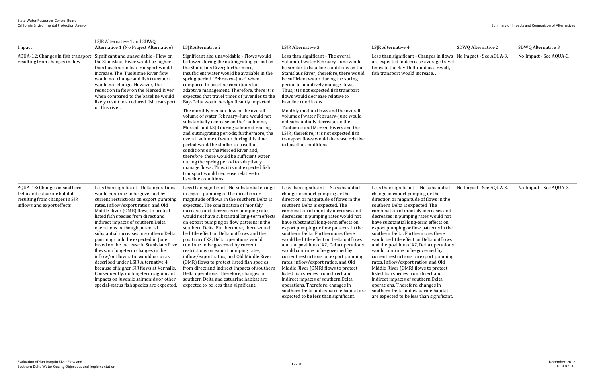| Impact                                                                                                                     | LSJR Alternative 1 and SDWQ<br>Alternative 1 (No Project Alternative)                                                                                                                                                                                                                                                                                                                                                                                                                                                                                                                                                                                                                                                                                                                | LSJR Alternative 2                                                                                                                                                                                                                                                                                                                                                                                                                                                                                                                                                                                                                                                                                                                                                             | LSJR Alternative 3                                                                                                                                                                                                                                                                                                                                                                                                                                                                                                                                                                                                                                                                                                                                                                                                           | LSJR Alternative 4                                                                                                                                                                                                                                                                                                                                                                                                                                                                                                                                                                                                                                                                                                                                                                                                           | SDWQ Alternative 2      | SDWQ Alternative 3      |
|----------------------------------------------------------------------------------------------------------------------------|--------------------------------------------------------------------------------------------------------------------------------------------------------------------------------------------------------------------------------------------------------------------------------------------------------------------------------------------------------------------------------------------------------------------------------------------------------------------------------------------------------------------------------------------------------------------------------------------------------------------------------------------------------------------------------------------------------------------------------------------------------------------------------------|--------------------------------------------------------------------------------------------------------------------------------------------------------------------------------------------------------------------------------------------------------------------------------------------------------------------------------------------------------------------------------------------------------------------------------------------------------------------------------------------------------------------------------------------------------------------------------------------------------------------------------------------------------------------------------------------------------------------------------------------------------------------------------|------------------------------------------------------------------------------------------------------------------------------------------------------------------------------------------------------------------------------------------------------------------------------------------------------------------------------------------------------------------------------------------------------------------------------------------------------------------------------------------------------------------------------------------------------------------------------------------------------------------------------------------------------------------------------------------------------------------------------------------------------------------------------------------------------------------------------|------------------------------------------------------------------------------------------------------------------------------------------------------------------------------------------------------------------------------------------------------------------------------------------------------------------------------------------------------------------------------------------------------------------------------------------------------------------------------------------------------------------------------------------------------------------------------------------------------------------------------------------------------------------------------------------------------------------------------------------------------------------------------------------------------------------------------|-------------------------|-------------------------|
| AQUA-12: Changes in fish transport<br>resulting from changes in flow                                                       | Significant and unavoidable - Flow on<br>the Stanislaus River would be higher<br>than baseline so fish transport would<br>increase. The Tuolumne River flow<br>would not change and fish transport<br>would not change. However, the<br>reduction in flow on the Merced River<br>when compared to the baseline would<br>likely result in a reduced fish transport                                                                                                                                                                                                                                                                                                                                                                                                                    | Significant and unavoidable - Flows would<br>be lower during the outmigrating period on<br>the Stanislaus River; furthermore,<br>insufficient water would be available in the<br>spring period (February-June) when<br>compared to baseline conditions for<br>adaptive management. Therefore, there it is<br>expected that travel times of juveniles to the<br>Bay-Delta would be significantly impacted.                                                                                                                                                                                                                                                                                                                                                                      | Less than significant - The overall<br>volume of water February-June would<br>be similar to baseline conditions on the<br>Stanislaus River; therefore, there would<br>be sufficient water during the spring<br>period to adaptively manage flows.<br>Thus, it is not expected fish transport<br>flows would decrease relative to<br>baseline conditions.                                                                                                                                                                                                                                                                                                                                                                                                                                                                     | Less than significant - Changes in flows<br>are expected to decrease average travel<br>times to the Bay-Delta and as a result,<br>fish transport would increase                                                                                                                                                                                                                                                                                                                                                                                                                                                                                                                                                                                                                                                              | No Impact - See AQUA-3. | No Impact - See AQUA-3. |
|                                                                                                                            | on this river.                                                                                                                                                                                                                                                                                                                                                                                                                                                                                                                                                                                                                                                                                                                                                                       | The monthly median flow or the overall<br>volume of water February-June would not<br>substantially decrease on the Tuolumne,<br>Merced, and LSJR during salmonid rearing<br>and outmigrating periods; furthermore, the<br>overall volume of water during this time<br>period would be similar to baseline<br>conditions on the Merced River and<br>therefore, there would be sufficient water<br>during the spring period to adaptively<br>manage flows. Thus, it is not expected fish<br>transport would decrease relative to<br>baseline conditions.                                                                                                                                                                                                                         | Monthly median flows and the overall<br>volume of water February-June would<br>not substantially decrease on the<br>Tuolumne and Merced Rivers and the<br>LSJR; therefore, it is not expected fish<br>transport flows would decrease relative<br>to baseline conditions                                                                                                                                                                                                                                                                                                                                                                                                                                                                                                                                                      |                                                                                                                                                                                                                                                                                                                                                                                                                                                                                                                                                                                                                                                                                                                                                                                                                              |                         |                         |
| AQUA-13: Changes in southern<br>Delta and estuarine habitat<br>resulting from changes in SJR<br>inflows and export effects | Less than significant - Delta operations<br>would continue to be governed by<br>current restrictions on export pumping<br>rates, inflow/export ratios, and Old<br>Middle River (OMR) flows to protect<br>listed fish species from direct and<br>indirect impacts of southern Delta<br>operations. Although potential<br>substantial increases in southern Delta<br>pumping could be expected in June<br>based on the increase in Stanislaus River continue to be governed by current<br>flows, no long-term changes in the<br>inflow/outflow ratio would occur as<br>described under LSJR Alternative 4<br>because of higher SJR flows at Vernalis.<br>Consequently, no long-term significant<br>impacts on juvenile salmonids or other<br>special-status fish species are expected. | Less than significant -No substantial change<br>in export pumping or the direction or<br>magnitude of flows in the southern Delta is<br>expected. The combination of monthly<br>increases and decreases in pumping rates<br>would not have substantial long-term effects<br>on export pumping or flow patterns in the<br>southern Delta. Furthermore, there would<br>be little effect on Delta outflows and the<br>position of X2, Delta operations would<br>restrictions on export pumping rates,<br>inflow/export ratios, and Old Middle River<br>(OMR) flows to protect listed fish species<br>from direct and indirect impacts of southern<br>Delta operations. Therefore, changes in<br>southern Delta and estuarine habitat are<br>expected to be less than significant. | Less than significant -. No substantial<br>change in export pumping or the<br>direction or magnitude of flows in the<br>southern Delta is expected. The<br>combination of monthly increases and<br>decreases in pumping rates would not<br>have substantial long-term effects on<br>export pumping or flow patterns in the<br>southern Delta. Furthermore, there<br>would be little effect on Delta outflows<br>and the position of X2, Delta operations<br>would continue to be governed by<br>current restrictions on export pumping<br>rates, inflow/export ratios, and Old<br>Middle River (OMR) flows to protect<br>listed fish species from direct and<br>indirect impacts of southern Delta<br>operations. Therefore, changes in<br>southern Delta and estuarine habitat are<br>expected to be less than significant. | Less than significant -. No substantial<br>change in export pumping or the<br>direction or magnitude of flows in the<br>southern Delta is expected. The<br>combination of monthly increases and<br>decreases in pumping rates would not<br>have substantial long-term effects on<br>export pumping or flow patterns in the<br>southern Delta. Furthermore, there<br>would be little effect on Delta outflows<br>and the position of X2, Delta operations<br>would continue to be governed by<br>current restrictions on export pumping<br>rates, inflow/export ratios, and Old<br>Middle River (OMR) flows to protect<br>listed fish species from direct and<br>indirect impacts of southern Delta<br>operations. Therefore, changes in<br>southern Delta and estuarine habitat<br>are expected to be less than significant. | No Impact - See AQUA-3. | No Impact - See AQUA-3. |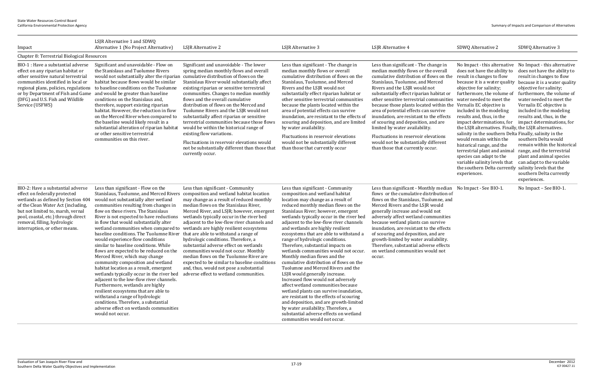| Impact                                                                                                                                                                                                                                                                                      | LSJR Alternative 1 and SDWQ<br>Alternative 1 (No Project Alternative)                                                                                                                                                                                                                                                                                                                                                                                                                                                                                                                                              | LSJR Alternative 2                                                                                                                                                                                                                                                                                                                                                                                                                                                                                                                                                                                                                                | LSJR Alternative 3                                                                                                                                                                                                                                                                                                                                                                                                                                                                                                                                                                                        | LSJR Alternative 4                                                                                                                                                                                                                                                                                                                                                                                                                                                                                                                                                                                               | SDWQ Alternative 2                                                                                                                                                                                                                                                                                                                                                                                                                                                                                                                                                                                                                                                                    | SDWQ Alternative 3                                                                                                                                                                                                                                                                                                                                                                                                                                                                                                            |
|---------------------------------------------------------------------------------------------------------------------------------------------------------------------------------------------------------------------------------------------------------------------------------------------|--------------------------------------------------------------------------------------------------------------------------------------------------------------------------------------------------------------------------------------------------------------------------------------------------------------------------------------------------------------------------------------------------------------------------------------------------------------------------------------------------------------------------------------------------------------------------------------------------------------------|---------------------------------------------------------------------------------------------------------------------------------------------------------------------------------------------------------------------------------------------------------------------------------------------------------------------------------------------------------------------------------------------------------------------------------------------------------------------------------------------------------------------------------------------------------------------------------------------------------------------------------------------------|-----------------------------------------------------------------------------------------------------------------------------------------------------------------------------------------------------------------------------------------------------------------------------------------------------------------------------------------------------------------------------------------------------------------------------------------------------------------------------------------------------------------------------------------------------------------------------------------------------------|------------------------------------------------------------------------------------------------------------------------------------------------------------------------------------------------------------------------------------------------------------------------------------------------------------------------------------------------------------------------------------------------------------------------------------------------------------------------------------------------------------------------------------------------------------------------------------------------------------------|---------------------------------------------------------------------------------------------------------------------------------------------------------------------------------------------------------------------------------------------------------------------------------------------------------------------------------------------------------------------------------------------------------------------------------------------------------------------------------------------------------------------------------------------------------------------------------------------------------------------------------------------------------------------------------------|-------------------------------------------------------------------------------------------------------------------------------------------------------------------------------------------------------------------------------------------------------------------------------------------------------------------------------------------------------------------------------------------------------------------------------------------------------------------------------------------------------------------------------|
| Chapter 8: Terrestrial Biological Resources                                                                                                                                                                                                                                                 |                                                                                                                                                                                                                                                                                                                                                                                                                                                                                                                                                                                                                    |                                                                                                                                                                                                                                                                                                                                                                                                                                                                                                                                                                                                                                                   |                                                                                                                                                                                                                                                                                                                                                                                                                                                                                                                                                                                                           |                                                                                                                                                                                                                                                                                                                                                                                                                                                                                                                                                                                                                  |                                                                                                                                                                                                                                                                                                                                                                                                                                                                                                                                                                                                                                                                                       |                                                                                                                                                                                                                                                                                                                                                                                                                                                                                                                               |
| BIO-1 : Have a substantial adverse<br>effect on any riparian habitat or<br>other sensitive natural terrestrial<br>communities identified in local or<br>regional plans, policies, regulations<br>or by Department of Fish and Game<br>(DFG) and U.S. Fish and Wildlife<br>Service (USFWS)   | Significant and unavoidable - Flow on<br>the Stanislaus and Tuolumne Rivers<br>would not substantially alter the riparian cumulative distribution of flows on the<br>habitat because flows would be similar<br>to baseline conditions on the Tuolumne<br>and would be greater than baseline<br>conditions on the Stanislaus and,<br>therefore, support existing riparian<br>habitat. However, the reduction in flow<br>on the Merced River when compared to<br>the baseline would likely result in a<br>substantial alteration of riparian habitat<br>or other sensitive terrestrial<br>communities on this river. | Significant and unavoidable - The lower<br>spring median monthly flows and overall<br>Stanislaus River would substantially affect<br>existing riparian or sensitive terrestrial<br>communities. Changes to median monthly<br>flows and the overall cumulative<br>distribution of flows on the Merced and<br>Tuolumne Rivers and the LSJR would not<br>substantially affect riparian or sensitive<br>terrestrial communities because those flows<br>would be within the historical range of<br>existing flow variations.<br>Fluctuations in reservoir elevations would<br>not be substantially different than those that<br>currently occur.       | Less than significant - The change in<br>median monthly flows or overall<br>cumulative distribution of flows on the<br>Stanislaus, Tuolumne, and Merced<br>Rivers and the LSJR would not<br>substantially effect riparian habitat or<br>other sensitive terrestrial communities<br>because the plants located within the<br>area of potential effects can survive<br>inundation, are resistant to the effects of<br>scouring and deposition, and are limited<br>by water availability.<br>Fluctuations in reservoir elevations<br>would not be substantially different<br>than those that currently occur | Less than significant - The change in<br>median monthly flows or the overall<br>cumulative distribution of flows on the<br>Stanislaus, Tuolumne, and Merced<br>Rivers and the LSJR would not<br>substantially effect riparian habitat or<br>other sensitive terrestrial communities<br>because those plants located within the<br>area of potential effects can survive<br>inundation, are resistant to the effects<br>of scouring and deposition, and are<br>limited by water availability.<br>Fluctuations in reservoir elevations<br>would not be substantially different<br>than those that currently occur. | No Impact - this alternative<br>does not have the ability to<br>result in changes to flow<br>because it is a water quality<br>objective for salinity;<br>furthermore, the volume of<br>water needed to meet the<br>Vernalis EC objective is<br>included in the modeling<br>results and, thus, in the<br>impact determinations, for<br>the LSJR alternatives. Finally, the LSJR alternatives.<br>salinity in the southern Delta Finally, salinity in the<br>would remain within the<br>historical range, and the<br>terrestrial plant and animal<br>species can adapt to the<br>variable salinity levels that<br>the southern Delta currently salinity levels that the<br>experiences. | No Impact - this alternative<br>does not have the ability to<br>result in changes to flow<br>because it is a water quality<br>objective for salinity;<br>furthermore, the volume of<br>water needed to meet the<br>Vernalis EC objective is<br>included in the modeling<br>results and, thus, in the<br>impact determinations, for<br>southern Delta would<br>remain within the historical<br>range, and the terrestrial<br>plant and animal species<br>can adapt to the variable<br>southern Delta currently<br>experiences. |
| BIO-2: Have a substantial adverse<br>effect on federally protected<br>wetlands as defined by Section 404<br>of the Clean Water Act (including,<br>but not limited to, marsh, vernal<br>pool, coastal, etc.) through direct<br>removal, filling, hydrologic<br>interruption, or other means. | Less than significant - Flow on the<br>would not substantially alter wetland<br>communities resulting from changes in<br>flow on these rivers. The Stanislaus<br>River is not expected to have reductions<br>in flow that would substantially alter<br>baseline conditions. The Tuolumne River<br>would experience flow conditions<br>similar to baseline conditions. While<br>flows are expected to be reduced on the<br>Merced River, which may change                                                                                                                                                           | Less than significant - Community<br>Stanislaus, Tuolumne, and Merced Rivers composition and wetland habitat location<br>may change as a result of reduced monthly<br>median flows on the Stanislaus River,<br>Merced River, and LSJR; however, emergent<br>wetlands typically occur in the river bed<br>adjacent to the low-flow river channels and<br>wetland communities when compared to wetlands are highly resilient ecosystems<br>that are able to withstand a range of<br>hydrologic conditions. Therefore, a<br>substantial adverse effect on wetlands<br>communities would not occur. Monthly<br>median flows on the Tuolumne River are | Less than significant - Community<br>composition and wetland habitat<br>location may change as a result of<br>reduced monthly median flows on the<br>Stanislaus River; however, emergent<br>wetlands typically occur in the river bed<br>adjacent to the low-flow river channels<br>and wetlands are highly resilient<br>ecosystems that are able to withstand a<br>range of hydrologic conditions.<br>Therefore, substantial impacts on<br>wetlands communities would not occur.<br>Monthly median flows and the                                                                                         | Less than significant - Monthly median<br>flows or the cumulative distribution of<br>flows on the Stanislaus, Tuolumne, and<br>Merced Rivers and the LSJR would<br>generally increase and would not<br>adversely affect wetland communities<br>because wetland plants can survive<br>inundation, are resistant to the effects<br>of scouring and deposition, and are<br>growth-limited by water availability.<br>Therefore, substantial adverse effects<br>on wetland communities would not<br>occur.                                                                                                            | No Impact - See BIO-1.                                                                                                                                                                                                                                                                                                                                                                                                                                                                                                                                                                                                                                                                | No Impact - See BIO-1.                                                                                                                                                                                                                                                                                                                                                                                                                                                                                                        |

community composition and wetland habitat location as a result, emergent wetlands typically occur in the river bed adjacent to the low-flow river channels. Furthermore, wetlands are highly resilient ecosystems that are able to withstand a range of hydrologic conditions. Therefore, a substantial adverse effect on wetlands communities

would not occur.

expected to be similar to baseline conditions and, thus, would not pose a substantial adverse effect to wetland communities.

cumulative distribution of flows on the Tuolumne and Merced Rivers and the LSJR would generally increase. Increased flow would not adversely affect wetland communities because wetland plants can survive inundation, are resistant to the effects of scouring and deposition, and are growth-limited by water availability. Therefore, a substantial adverse effects on wetland

communities would not occur.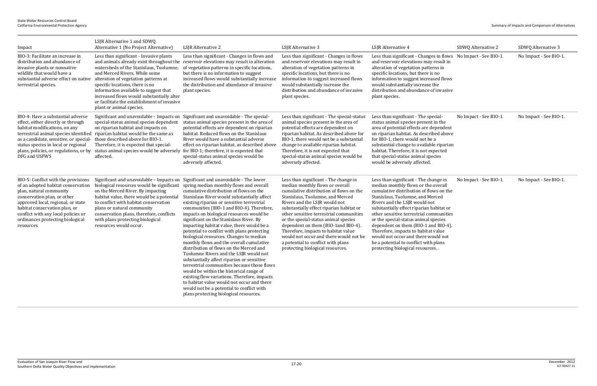| Impact                                                                                                                                                                                                                                                                                             | LSJR Alternative 1 and SDWQ<br>Alternative 1 (No Project Alternative)                                                                                                                                                                                                                                                                                           | LSJR Alternative 2                                                                                                                                                                                                                                                                                                                                                                                                                                                                                                                                                                                                                                                                                                                                                                                                                                                          | LSJR Alternative 3                                                                                                                                                                                                                                                                                                                                                                                                                                                                                                        | LSJR Alternative 4                                                                                                                                                                                                                                                                                                                                                                                                                                                                                                            | SDWQ Alternative 2     | SDWQ Alternative 3     |
|----------------------------------------------------------------------------------------------------------------------------------------------------------------------------------------------------------------------------------------------------------------------------------------------------|-----------------------------------------------------------------------------------------------------------------------------------------------------------------------------------------------------------------------------------------------------------------------------------------------------------------------------------------------------------------|-----------------------------------------------------------------------------------------------------------------------------------------------------------------------------------------------------------------------------------------------------------------------------------------------------------------------------------------------------------------------------------------------------------------------------------------------------------------------------------------------------------------------------------------------------------------------------------------------------------------------------------------------------------------------------------------------------------------------------------------------------------------------------------------------------------------------------------------------------------------------------|---------------------------------------------------------------------------------------------------------------------------------------------------------------------------------------------------------------------------------------------------------------------------------------------------------------------------------------------------------------------------------------------------------------------------------------------------------------------------------------------------------------------------|-------------------------------------------------------------------------------------------------------------------------------------------------------------------------------------------------------------------------------------------------------------------------------------------------------------------------------------------------------------------------------------------------------------------------------------------------------------------------------------------------------------------------------|------------------------|------------------------|
| BIO-3: Facilitate an increase in<br>distribution and abundance of<br>invasive plants or nonnative<br>wildlife that would have a<br>substantial adverse effect on native<br>terrestrial species.                                                                                                    | Less than significant - Invasive plants<br>watersheds of the Stanislaus, Tuolumne,<br>and Merced Rivers. While some<br>alteration of vegetation patterns at<br>specific locations, there is no<br>information available to suggest that<br>increased flows would substantially alter<br>or facilitate the establishment of invasive<br>plant or animal species. | Less than significant - Changes in flows and<br>and animals already exist throughout the reservoir elevations may result in alteration<br>of vegetation patterns in specific locations,<br>but there is no information to suggest<br>increased flows would substantially increase<br>the distribution and abundance of invasive<br>plant species.                                                                                                                                                                                                                                                                                                                                                                                                                                                                                                                           | Less than significant - Changes in flows<br>and reservoir elevations may result in<br>alteration of vegetation patterns in<br>specific locations, but there is no<br>information to suggest increased flows<br>would substantially increase the<br>distribution and abundance of invasive<br>plant species.                                                                                                                                                                                                               | Less than significant - Changes in flows No Impact - See BIO-1.<br>and reservoir elevations may result in<br>alteration of vegetation patterns in<br>specific locations, but there is no<br>information to suggest increased flows<br>would substantially increase the<br>distribution and abundance of invasive<br>plant species.                                                                                                                                                                                            |                        | No Impact - See BIO-1. |
| BIO-4: Have a substantial adverse<br>effect, either directly or through<br>habitat modifications, on any<br>terrestrial animal species identified<br>as a candidate, sensitive, or special-<br>status species in local or regional<br>plans, policies, or regulations, or by<br>DFG and USFWS      | special-status animal species dependent<br>on riparian habitat and impacts on<br>riparian habitat would be the same as<br>those described above for BIO-1.<br>Therefore, it is expected that special-<br>status animal species would be adversely for BIO-1; therefore, it is expected that<br>affected.                                                        | Significant and unavoidable - Impacts on Significant and unavoidable - The special-<br>status animal species present in the area of<br>potential effects are dependent on riparian<br>habitat. Reduced flows on the Stanislaus<br>River would have a substantial adverse<br>effect on riparian habitat, as described above<br>special-status animal species would be<br>adversely affected.                                                                                                                                                                                                                                                                                                                                                                                                                                                                                 | Less than significant - The special-status<br>animal species present in the area of<br>potential effects are dependent on<br>riparian habitat. As described above for<br>BIO-1, there would not be a substantial<br>change to available riparian habitat.<br>Therefore, it is not expected that<br>special-status animal species would be<br>adversely affected.                                                                                                                                                          | Less than significant - The special-<br>status animal species present in the<br>area of potential effects are dependent<br>on riparian habitat. As described above<br>for BIO-1, there would not be a<br>substantial change to available riparian<br>habitat. Therefore, it is not expected<br>that special-status animal species<br>would be adversely affected.                                                                                                                                                             | No Impact - See BIO-1. | No Impact - See BIO-1. |
| BIO-5: Conflict with the provisions<br>of an adopted habitat conservation<br>plan, natural community<br>conservation plan, or other<br>approved local, regional, or state<br>habitat conservation plan, or<br>conflict with any local policies or<br>ordinances protecting biological<br>resources | Significant and unavoidable - Impacts on Significant and unavoidable - The lower<br>on the Merced River. By impacting<br>habitat value, there would be a potential<br>to conflict with habitat conservation<br>plans or natural community<br>conservation plans, therefore, conflicts<br>with plans protecting biological<br>resources would occur.             | biological resources would be significant spring median monthly flows and overall<br>cumulative distribution of flows on the<br>Stanislaus River would substantially affect<br>existing riparian or sensitive terrestrial<br>communities (BIO-1 and BIO-4). Therefore,<br>impacts on biological resources would be<br>significant on the Stanislaus River. By<br>impacting habitat value, there would be a<br>potential to conflict with plans protecting<br>biological resources. Changes to median<br>monthly flows and the overall cumulative<br>distribution of flows on the Merced and<br>Tuolumne Rivers and the LSJR would not<br>substantially affect riparian or sensitive<br>terrestrial communities because those flows<br>would be within the historical range of<br>existing flow variations. Therefore, impacts<br>to habitat value would not occur and there | Less than significant - The change in<br>median monthly flows or overall<br>cumulative distribution of flows on the<br>Stanislaus, Tuolumne, and Merced<br>Rivers and the LSJR would not<br>substantially effect riparian habitat or<br>other sensitive terrestrial communities<br>or the special-status animal species<br>dependent on them (BIO-1and BIO-4).<br>Therefore, impacts to habitat value<br>would not occur and there would not be<br>a potential to conflict with plans<br>protecting biological resources. | Less than significant - The change in<br>median monthly flows or the overall<br>cumulative distribution of flows on the<br>Stanislaus, Tuolumne, and Merced<br>Rivers and the LSJR would not<br>substantially effect riparian habitat or<br>other sensitive terrestrial communities<br>or the special-status animal species<br>dependent on them (BIO-1 and BIO-4).<br>Therefore, impacts to habitat value<br>would not occur and there would not<br>be a potential to conflict with plans<br>protecting biological resources | No Impact - See BIO-1. | No Impact - See BIO-1. |

would not be a potential to conflict with plans protecting biological resources.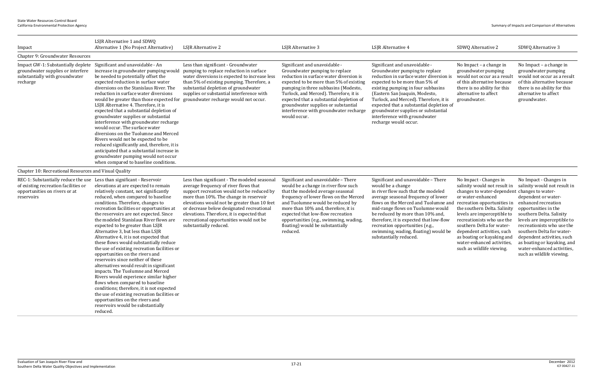|                                                                                                                                                              | LSJR Alternative 1 and SDWQ<br>Alternative 1 (No Project Alternative)                                                                                                                                                                                                                                                                                                                                                                                                                                                                                                                                                                                                                                                                                                                                                                                                                                                         | LSJR Alternative 2                                                                                                                                                                                                                                                                                                                                                                            | LSJR Alternative 3                                                                                                                                                                                                                                                                                                                                                                   | LSJR Alternative 4                                                                                                                                                                                                                                                                                                                                                                                          | SDWQ Alternative 2                                                                                                                                                                                                                                                                                                                                                                                          | SDWQ Alternative 3                                                                                                                                                                                                                                                                                                                                                         |
|--------------------------------------------------------------------------------------------------------------------------------------------------------------|-------------------------------------------------------------------------------------------------------------------------------------------------------------------------------------------------------------------------------------------------------------------------------------------------------------------------------------------------------------------------------------------------------------------------------------------------------------------------------------------------------------------------------------------------------------------------------------------------------------------------------------------------------------------------------------------------------------------------------------------------------------------------------------------------------------------------------------------------------------------------------------------------------------------------------|-----------------------------------------------------------------------------------------------------------------------------------------------------------------------------------------------------------------------------------------------------------------------------------------------------------------------------------------------------------------------------------------------|--------------------------------------------------------------------------------------------------------------------------------------------------------------------------------------------------------------------------------------------------------------------------------------------------------------------------------------------------------------------------------------|-------------------------------------------------------------------------------------------------------------------------------------------------------------------------------------------------------------------------------------------------------------------------------------------------------------------------------------------------------------------------------------------------------------|-------------------------------------------------------------------------------------------------------------------------------------------------------------------------------------------------------------------------------------------------------------------------------------------------------------------------------------------------------------------------------------------------------------|----------------------------------------------------------------------------------------------------------------------------------------------------------------------------------------------------------------------------------------------------------------------------------------------------------------------------------------------------------------------------|
| Impact<br>Chapter 9: Groundwater Resources                                                                                                                   |                                                                                                                                                                                                                                                                                                                                                                                                                                                                                                                                                                                                                                                                                                                                                                                                                                                                                                                               |                                                                                                                                                                                                                                                                                                                                                                                               |                                                                                                                                                                                                                                                                                                                                                                                      |                                                                                                                                                                                                                                                                                                                                                                                                             |                                                                                                                                                                                                                                                                                                                                                                                                             |                                                                                                                                                                                                                                                                                                                                                                            |
| Impact GW-1: Substantially deplete Significant and unavoidable - An<br>groundwater supplies or interfere<br>substantially with groundwater<br>recharge       | increase in groundwater pumping would<br>be needed to potentially offset the<br>expected reduction in surface water<br>diversions on the Stanislaus River. The<br>reduction in surface water diversions<br>would be greater than those expected for groundwater recharge would not occur.<br>LSJR Alternative 4. Therefore, it is<br>expected that a substantial depletion of<br>groundwater supplies or substantial<br>interference with groundwater recharge<br>would occur. The surface water<br>diversions on the Tuolumne and Merced<br>Rivers would not be expected to be<br>reduced significantly and, therefore, it is<br>anticipated that a substantial increase in<br>groundwater pumping would not occur<br>when compared to baseline conditions.                                                                                                                                                                  | Less than significant - Groundwater<br>pumping to replace reduction in surface<br>water diversions is expected to increase less<br>than 5% of existing pumping. Therefore, a<br>substantial depletion of groundwater<br>supplies or substantial interference with                                                                                                                             | Significant and unavoidable -<br>Groundwater pumping to replace<br>reduction in surface water diversion is<br>expected to be more than 5% of existing<br>pumping in three subbasins (Modesto,<br>Turlock, and Merced). Therefore, it is<br>expected that a substantial depletion of<br>groundwater supplies or substantial<br>interference with groundwater recharge<br>would occur. | Significant and unavoidable -<br>Groundwater pumping to replace<br>reduction in surface water diversion is<br>expected to be more than 5% of<br>existing pumping in four subbasins<br>(Eastern San Joaquin, Modesto,<br>Turlock, and Merced). Therefore, it is<br>expected that a substantial depletion of<br>groundwater supplies or substantial<br>interference with groundwater<br>recharge would occur. | No Impact - a change in<br>groundwater pumping<br>would not occur as a result<br>of this alternative because<br>there is no ability for this<br>alternative to affect<br>groundwater.                                                                                                                                                                                                                       | No Impact – a change in<br>groundwater pumping<br>would not occur as a result<br>of this alternative because<br>there is no ability for this<br>alternative to affect<br>groundwater.                                                                                                                                                                                      |
| Chapter 10: Recreational Resources and Visual Quality                                                                                                        |                                                                                                                                                                                                                                                                                                                                                                                                                                                                                                                                                                                                                                                                                                                                                                                                                                                                                                                               |                                                                                                                                                                                                                                                                                                                                                                                               |                                                                                                                                                                                                                                                                                                                                                                                      |                                                                                                                                                                                                                                                                                                                                                                                                             |                                                                                                                                                                                                                                                                                                                                                                                                             |                                                                                                                                                                                                                                                                                                                                                                            |
| REC-1: Substantially reduce the use Less than significant - Reservoir<br>of existing recreation facilities or<br>opportunities on rivers or at<br>reservoirs | elevations at are expected to remain<br>relatively constant, not significantly<br>reduced, when compared to baseline<br>conditions. Therefore, changes to<br>recreation facilities or opportunities at<br>the reservoirs are not expected. Since<br>the modeled Stanislaus River flows are<br>expected to be greater than LSJR<br>Alternative 3, but less than LSJR<br>Alternative 4, it is not expected that<br>these flows would substantially reduce<br>the use of existing recreation facilities or<br>opportunities on the rivers and<br>reservoirs since neither of these<br>alternatives would result in significant<br>impacts. The Tuolumne and Merced<br>Rivers would experience similar higher<br>flows when compared to baseline<br>conditions; therefore, it is not expected<br>the use of existing recreation facilities or<br>opportunities on the rivers and<br>reservoirs would be substantially<br>reduced. | Less than significant - The modeled seasonal<br>average frequency of river flows that<br>support recreation would not be reduced by<br>more than 10%. The change in reservoir<br>elevations would not be greater than 10 feet<br>or decrease below designated recreational<br>elevations. Therefore, it is expected that<br>recreational opportunities would not be<br>substantially reduced. | Significant and unavoidable - There<br>would be a change in river flow such<br>that the modeled average seasonal<br>frequency of lower flows on the Merced<br>and Tuolumne would be reduced by<br>more than 10% and, therefore, it is<br>expected that low-flow recreation<br>opportunities (e.g., swimming, wading,<br>floating) would be substantially<br>reduced.                 | Significant and unavoidable - There<br>would be a change<br>in river flow such that the modeled<br>average seasonal frequency of lower<br>flows on the Merced and Tuolumne and<br>mid-range flows on Tuolumne would<br>be reduced by more than 10% and,<br>therefore, it is expected that low-flow<br>recreation opportunities (e.g.,<br>swimming, wading, floating) would be<br>substantially reduced.     | No Impact - Changes in<br>salinity would not result in<br>changes to water-dependent changes to water-<br>or water-enhanced<br>recreation opportunities in<br>the southern Delta. Salinity<br>levels are imperceptible to<br>recreationists who use the<br>southern Delta for water-<br>dependent activities, such<br>as boating or kayaking and<br>water-enhanced activities,<br>such as wildlife viewing. | No Impact - Changes in<br>salinity would not result in<br>dependent or water-<br>enhanced recreation<br>opportunities in the<br>southern Delta. Salinity<br>levels are imperceptible to<br>recreationists who use the<br>southern Delta for water-<br>dependent activities, such<br>as boating or kayaking, and<br>water-enhanced activities,<br>such as wildlife viewing. |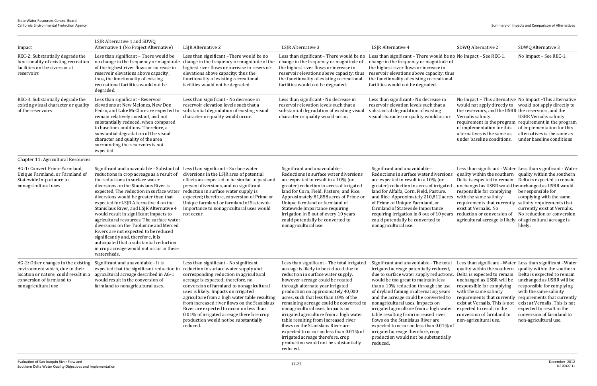| Impact                                                                                                                                                              | LSJR Alternative 1 and SDWQ<br>Alternative 1 (No Project Alternative)                                                                                                                                                                                                                                                                                                                                                                                                                                                                                                                                                                                                                                     | LSJR Alternative 2                                                                                                                                                                                                                                                                                                                                                                                                                                          | LSJR Alternative 3                                                                                                                                                                                                                                                                                                                                                                                                                                                                                                                                                                                                             | LSJR Alternative 4                                                                                                                                                                                                                                                                                                                                                                                                                                                                                                                                                                              | SDWQ Alternative 2                                                                                                                                                                                                                                                                                                                                                                 | SDWQ Alternative 3                                                                                                                                                                                                                                                                                                                                                                            |
|---------------------------------------------------------------------------------------------------------------------------------------------------------------------|-----------------------------------------------------------------------------------------------------------------------------------------------------------------------------------------------------------------------------------------------------------------------------------------------------------------------------------------------------------------------------------------------------------------------------------------------------------------------------------------------------------------------------------------------------------------------------------------------------------------------------------------------------------------------------------------------------------|-------------------------------------------------------------------------------------------------------------------------------------------------------------------------------------------------------------------------------------------------------------------------------------------------------------------------------------------------------------------------------------------------------------------------------------------------------------|--------------------------------------------------------------------------------------------------------------------------------------------------------------------------------------------------------------------------------------------------------------------------------------------------------------------------------------------------------------------------------------------------------------------------------------------------------------------------------------------------------------------------------------------------------------------------------------------------------------------------------|-------------------------------------------------------------------------------------------------------------------------------------------------------------------------------------------------------------------------------------------------------------------------------------------------------------------------------------------------------------------------------------------------------------------------------------------------------------------------------------------------------------------------------------------------------------------------------------------------|------------------------------------------------------------------------------------------------------------------------------------------------------------------------------------------------------------------------------------------------------------------------------------------------------------------------------------------------------------------------------------|-----------------------------------------------------------------------------------------------------------------------------------------------------------------------------------------------------------------------------------------------------------------------------------------------------------------------------------------------------------------------------------------------|
| REC-2: Substantially degrade the<br>functionality of existing recreation<br>facilities on the rivers or at<br>reservoirs                                            | Less than significant - There would be<br>no change in the frequency or magnitude<br>of the highest river flows or increase in<br>reservoir elevations above capacity;<br>thus, the functionality of existing<br>recreational facilities would not be<br>degraded.                                                                                                                                                                                                                                                                                                                                                                                                                                        | Less than significant -There would be no<br>change in the frequency or magnitude of the<br>highest river flows or increase in reservoir<br>elevations above capacity; thus the<br>functionality of existing recreational<br>facilities would not be degraded.                                                                                                                                                                                               | Less than significant - There would be no<br>change in the frequency or magnitude of<br>the highest river flows or increase in<br>reservoir elevations above capacity; thus<br>the functionality of existing recreational<br>facilities would not be degraded.                                                                                                                                                                                                                                                                                                                                                                 | Less than significant - There would be no No Impact - See REC-1.<br>change in the frequency or magnitude of<br>the highest river flows or increase in<br>reservoir elevations above capacity; thus<br>the functionality of existing recreational<br>facilities would not be degraded.                                                                                                                                                                                                                                                                                                           |                                                                                                                                                                                                                                                                                                                                                                                    | No Impact - See REC-1.                                                                                                                                                                                                                                                                                                                                                                        |
| REC-3: Substantially degrade the<br>existing visual character or quality<br>of the reservoirs                                                                       | Less than significant - Reservoir<br>elevations at New Melones, New Don<br>remain relatively constant, and not<br>substantially reduced, when compared<br>to baseline conditions. Therefore, a<br>substantial degradation of the visual<br>character and quality of the area<br>surrounding the reservoirs is not<br>expected.                                                                                                                                                                                                                                                                                                                                                                            | Less than significant - No decrease in<br>reservoir elevation levels such that a<br>Pedro, and Lake McClure are expected to substantial degradation of existing visual<br>character or quality would occur.                                                                                                                                                                                                                                                 | Less than significant - No decrease in<br>reservoir elevation levels such that a<br>substantial degradation of existing visual<br>character or quality would occur.                                                                                                                                                                                                                                                                                                                                                                                                                                                            | Less than significant - No decrease in<br>reservoir elevation levels such that a<br>substantial degradation of existing<br>visual character or quality would occur.                                                                                                                                                                                                                                                                                                                                                                                                                             | would not apply directly to would not apply directly to<br>the reservoirs, and the USBR the reservoirs, and the<br>Vernalis salinity<br>of implementation for this<br>alternatives is the same as<br>under baseline conditions.                                                                                                                                                    | No Impact - This alternative No Impact - This alternative<br><b>USBR Vernalis salinity</b><br>requirement in the program requirement in the program<br>of implementation for this<br>alternatives is the same as<br>under baseline conditions                                                                                                                                                 |
| Chapter 11: Agricultural Resources                                                                                                                                  |                                                                                                                                                                                                                                                                                                                                                                                                                                                                                                                                                                                                                                                                                                           |                                                                                                                                                                                                                                                                                                                                                                                                                                                             |                                                                                                                                                                                                                                                                                                                                                                                                                                                                                                                                                                                                                                |                                                                                                                                                                                                                                                                                                                                                                                                                                                                                                                                                                                                 |                                                                                                                                                                                                                                                                                                                                                                                    |                                                                                                                                                                                                                                                                                                                                                                                               |
| AG-1: Convert Prime Farmland<br>Unique Farmland, or Farmland of<br>Statewide Importance to<br>nonagricultural uses                                                  | Significant and unavoidable - Substantial<br>reductions in crop acreage as a result of<br>the reductions in surface water<br>diversions on the Stanislaus River is<br>expected. The reduction in surface water reduction in surface water supply is<br>diversions would be greater than that<br>expected for LSJR Alternative 4 on the<br>Stanislaus River, and LSJR Alternative 4<br>would result in significant impacts to<br>agricultural resources. The surface water<br>diversions on the Tuolumne and Merced<br>Rivers are not expected to be reduced<br>significantly and, therefore, it is<br>anticipated that a substantial reduction<br>in crop acreage would not occur in these<br>watersheds. | Less than significant - Surface water<br>diversions in the LSJR area of potential<br>effects are expected to be similar to past and<br>present diversions, and no significant<br>expected; therefore, conversion of Prime or<br>Unique farmland or farmland of Statewide<br>Importance to nonagricultural uses would<br>not occur.                                                                                                                          | Significant and unavoidable -<br>Reductions in surface water diversions<br>are expected to result in a 10% (or<br>greater) reduction in acres of irrigated<br>land for Corn, Field, Pasture, and Rice.<br>Approximately 81,858 acres of Prime or<br>Unique farmland or farmland of<br>Statewide Importance requiring<br>irrigation in 8 out of every 10 years<br>could potentially be converted to<br>nonagricultural use.                                                                                                                                                                                                     | Significant and unavoidable -<br>Reductions in surface water diversions<br>are expected to result in a 10% (or<br>greater) reduction in acres of irrigated<br>land for Alfalfa, Corn, Field, Pasture,<br>and Rice. Approximately 210,812 acres<br>of Prime or Unique Farmland, or<br>farmland of Statewide Importance<br>requiring irrigation in 8 out of 10 years<br>could potentially be converted to<br>nonagricultural use.                                                                                                                                                                 | quality within the southern<br>Delta is expected to remain  Delta is expected to remain<br>unchanged as USBR would beunchanged as USBR would<br>responsible for complying<br>with the same salinity<br>requirements that currently salinity requirements that<br>exist at Vernalis. No<br>reduction or conversion of<br>agricultural acreage is likely. of agricultural acreage is | Less than significant - Water Less than significant - Water<br>quality within the southern<br>be responsible for<br>complying with the same<br>currently exist at Vernalis.<br>No reduction or conversion<br>likely.                                                                                                                                                                          |
| AG-2: Other changes in the existing<br>environment which, due to their<br>location or nature, could result in a<br>conversion of farmland to<br>nonagricultural use | Significant and unavoidable - It is<br>expected that the significant reduction in reduction in surface water supply and<br>agricultural acreage described in AG-1<br>would result in the conversion of<br>farmland to nonagricultural uses.                                                                                                                                                                                                                                                                                                                                                                                                                                                               | Less than significant - No significant<br>corresponding reduction in agricultural<br>acreage is expected; therefore, no<br>conversion of farmland to nonagricultural<br>uses is likely. Impacts on irrigated<br>agriculture from a high water table resulting<br>from increased river flows on the Stanislaus<br>River are expected to occur on less than<br>0.01% of irrigated acreage therefore crop<br>production would not be substantially<br>reduced. | Less than significant - The total irrigated<br>acreage is likely to be reduced due to<br>reduction in surface water supply,<br>however acreage could be rotated<br>through alternate year irrigated<br>production on approximately 40,000<br>acres, such that less than 10% of the<br>remaining acreage could be converted to<br>nonagricultural uses. Impacts on<br>irrigated agriculture from a high water<br>table resulting from increased river<br>flows on the Stanislaus River are<br>expected to occur on less than 0.01% of<br>irrigated acreage therefore, crop<br>production would not be substantially<br>reduced. | Significant and unavoidable - The total<br>irrigated acreage potentially reduced,<br>due to surface water supply reductions,<br>would be too great to maintain less<br>than a 10% reduction through the use<br>of dryland faming in alternating years<br>and the acreage could be converted to<br>nonagricultural uses. Impacts on<br>irrigated agriculture from a high water<br>table resulting from increased river<br>flows on the Stanislaus River are<br>expected to occur on less than 0.01% of<br>irrigated acreage therefore, crop<br>production would not be substantially<br>reduced. | quality within the southern<br>Delta is expected to remain<br>unchanged as USBR will be<br>responsible for complying<br>with the same salinity<br>exist at Vernalis. This is not<br>expected to result in the<br>conversion of farmland to<br>non-agricultural use.                                                                                                                | Less than significant - Water Less than significant - Water<br>quality within the southern<br>Delta is expected to remain<br>unchanged as USBR will be<br>responsible for complying<br>with the same salinity<br>requirements that currently requirements that currently<br>exist at Vernalis. This is not<br>expected to result in the<br>conversion of farmland to<br>non-agricultural use. |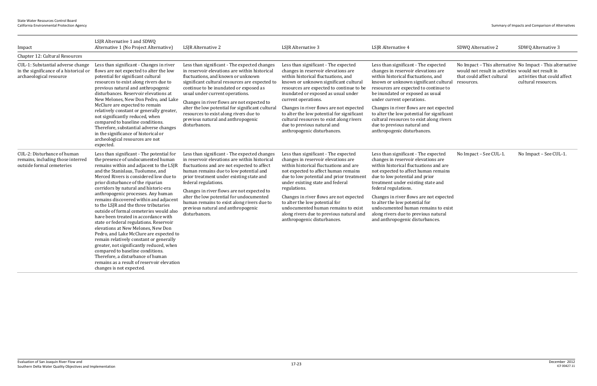| Impact                                                                                                 | LSJR Alternative 1 and SDWQ<br>Alternative 1 (No Project Alternative)                                                                                                                                                                                                                                                                                                                                                                                                                                                                                                                                                                                                                                                                                                                                                                                                                                                                                                                                                                                                                                                                                                                                                                                                                                                                 | LSJR Alternative 2                                                                                                                                                                                                                                                                                                                                                   | LSJR Alternative 3                                                                                                                                                                                                                                                                                               | LSJR Alternative 4                                                                                                                                                                                                                                                                                               | SDWQ Alternative 2                                                                             | SDWQ Alternative 3                                                                                               |
|--------------------------------------------------------------------------------------------------------|---------------------------------------------------------------------------------------------------------------------------------------------------------------------------------------------------------------------------------------------------------------------------------------------------------------------------------------------------------------------------------------------------------------------------------------------------------------------------------------------------------------------------------------------------------------------------------------------------------------------------------------------------------------------------------------------------------------------------------------------------------------------------------------------------------------------------------------------------------------------------------------------------------------------------------------------------------------------------------------------------------------------------------------------------------------------------------------------------------------------------------------------------------------------------------------------------------------------------------------------------------------------------------------------------------------------------------------|----------------------------------------------------------------------------------------------------------------------------------------------------------------------------------------------------------------------------------------------------------------------------------------------------------------------------------------------------------------------|------------------------------------------------------------------------------------------------------------------------------------------------------------------------------------------------------------------------------------------------------------------------------------------------------------------|------------------------------------------------------------------------------------------------------------------------------------------------------------------------------------------------------------------------------------------------------------------------------------------------------------------|------------------------------------------------------------------------------------------------|------------------------------------------------------------------------------------------------------------------|
| Chapter 12: Cultural Resources                                                                         |                                                                                                                                                                                                                                                                                                                                                                                                                                                                                                                                                                                                                                                                                                                                                                                                                                                                                                                                                                                                                                                                                                                                                                                                                                                                                                                                       |                                                                                                                                                                                                                                                                                                                                                                      |                                                                                                                                                                                                                                                                                                                  |                                                                                                                                                                                                                                                                                                                  |                                                                                                |                                                                                                                  |
| CUL-1: Substantial adverse change<br>in the significance of a historical or<br>archaeological resource | Less than significant - Changes in river<br>flows are not expected to alter the low<br>potential for significant cultural<br>resources to exist along rivers due to<br>previous natural and anthropogenic<br>disturbances. Reservoir elevations at<br>New Melones, New Don Pedro, and Lake<br>McClure are expected to remain<br>relatively constant or generally greater,<br>not significantly reduced, when<br>compared to baseline conditions.<br>Therefore, substantial adverse changes<br>in the significance of historical or<br>archeological resources are not<br>expected.                                                                                                                                                                                                                                                                                                                                                                                                                                                                                                                                                                                                                                                                                                                                                    | Less than significant - The expected changes<br>in reservoir elevations are within historical<br>fluctuations, and known or unknown<br>significant cultural resources are expected to<br>continue to be inundated or exposed as<br>usual under current operations.<br>Changes in river flows are not expected to<br>alter the low potential for significant cultural | Less than significant - The expected<br>changes in reservoir elevations are<br>within historical fluctuations, and<br>known or unknown significant cultural<br>resources are expected to continue to be<br>inundated or exposed as usual under<br>current operations.<br>Changes in river flows are not expected | Less than significant - The expected<br>changes in reservoir elevations are<br>within historical fluctuations, and<br>known or unknown significant cultural<br>resources are expected to continue to<br>be inundated or exposed as usual<br>under current operations.<br>Changes in river flows are not expected | would not result in activities would not result in<br>that could affect cultural<br>resources. | No Impact - This alternative No Impact - This alternative<br>activities that could affect<br>cultural resources. |
|                                                                                                        |                                                                                                                                                                                                                                                                                                                                                                                                                                                                                                                                                                                                                                                                                                                                                                                                                                                                                                                                                                                                                                                                                                                                                                                                                                                                                                                                       | resources to exist along rivers due to<br>previous natural and anthropogenic<br>disturbances.                                                                                                                                                                                                                                                                        | to alter the low potential for significant<br>cultural resources to exist along rivers<br>due to previous natural and<br>anthropogenic disturbances.                                                                                                                                                             | to alter the low potential for significant<br>cultural resources to exist along rivers<br>due to previous natural and<br>anthropogenic disturbances.                                                                                                                                                             |                                                                                                |                                                                                                                  |
| CUL-2: Disturbance of human<br>remains, including those interred<br>outside formal cemeteries          | Less than significant - The potential for<br>Less than significant - The expected changes<br>the presence of undocumented human<br>in reservoir elevations are within historical<br>remains within and adjacent to the LSJR<br>fluctuations and are not expected to affect<br>and the Stanislaus, Tuolumne, and<br>human remains due to low potential and<br>Merced Rivers is considered low due to<br>prior treatment under existing state and<br>prior disturbance of the riparian<br>federal regulations.<br>corridors by natural and historic-era<br>Changes in river flows are not expected to<br>anthropogenic processes. Any human<br>alter the low potential for undocumented<br>remains discovered within and adjacen<br>human remains to exist along rivers due to<br>to the LSJR and the three tributaries<br>previous natural and anthropogenic<br>outside of formal cemeteries would also<br>disturbances.<br>have been treated in accordance with<br>state or federal regulations. Reservoir<br>elevations at New Melones, New Don<br>Pedro, and Lake McClure are expected to<br>remain relatively constant or generally<br>greater, not significantly reduced, when<br>compared to baseline conditions.<br>Therefore, a disturbance of human<br>remains as a result of reservoir elevation<br>changes is not expected. |                                                                                                                                                                                                                                                                                                                                                                      | Less than significant - The expected<br>changes in reservoir elevations are<br>within historical fluctuations and are<br>not expected to affect human remains<br>due to low potential and prior treatmen<br>under existing state and federal<br>regulations.                                                     | Less than significant - The expected<br>changes in reservoir elevations are<br>within historical fluctuations and are<br>not expected to affect human remains<br>due to low potential and prior<br>treatment under existing state and<br>federal regulations.                                                    | No Impact - See CUL-1.                                                                         | No Impact - See CUL-1.                                                                                           |
|                                                                                                        |                                                                                                                                                                                                                                                                                                                                                                                                                                                                                                                                                                                                                                                                                                                                                                                                                                                                                                                                                                                                                                                                                                                                                                                                                                                                                                                                       | Changes in river flows are not expected<br>to alter the low potential for<br>undocumented human remains to exist<br>along rivers due to previous natural and<br>anthropogenic disturbances.                                                                                                                                                                          | Changes in river flows are not expected<br>to alter the low potential for<br>undocumented human remains to exist<br>along rivers due to previous natural<br>and anthropogenic disturbances.                                                                                                                      |                                                                                                                                                                                                                                                                                                                  |                                                                                                |                                                                                                                  |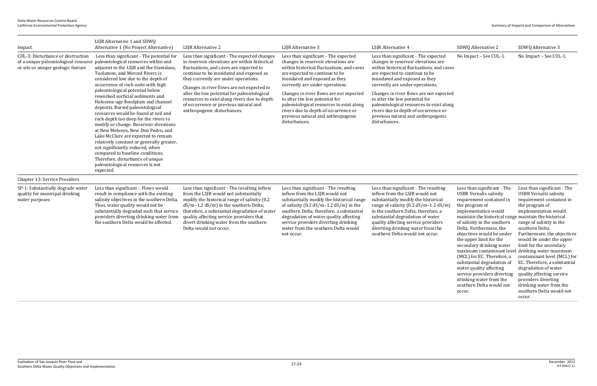| Impact                                                                                | LSJR Alternative 1 and SDWQ<br>Alternative 1 (No Project Alternative)                                                                                                                                                                                                                                                                                                                                                                                                                                                                                                                                                                                                                                                                                                                                                                               | LSJR Alternative 2                                                                                                                                                                                                                                                                                                                                                                                                                               | LSJR Alternative 3                                                                                                                                                                                                                                                                                                                                                                                                                                     | LSJR Alternative 4                                                                                                                                                                                                                                                                                                                                                                                                                                     | SDWQ Alternative 2                                                                                                                                                                                                                                                                                                                                                                                                                                                                                                  | SDWQ Alternative 3                                                                                                                                                                                                                                                                                                                                                                          |
|---------------------------------------------------------------------------------------|-----------------------------------------------------------------------------------------------------------------------------------------------------------------------------------------------------------------------------------------------------------------------------------------------------------------------------------------------------------------------------------------------------------------------------------------------------------------------------------------------------------------------------------------------------------------------------------------------------------------------------------------------------------------------------------------------------------------------------------------------------------------------------------------------------------------------------------------------------|--------------------------------------------------------------------------------------------------------------------------------------------------------------------------------------------------------------------------------------------------------------------------------------------------------------------------------------------------------------------------------------------------------------------------------------------------|--------------------------------------------------------------------------------------------------------------------------------------------------------------------------------------------------------------------------------------------------------------------------------------------------------------------------------------------------------------------------------------------------------------------------------------------------------|--------------------------------------------------------------------------------------------------------------------------------------------------------------------------------------------------------------------------------------------------------------------------------------------------------------------------------------------------------------------------------------------------------------------------------------------------------|---------------------------------------------------------------------------------------------------------------------------------------------------------------------------------------------------------------------------------------------------------------------------------------------------------------------------------------------------------------------------------------------------------------------------------------------------------------------------------------------------------------------|---------------------------------------------------------------------------------------------------------------------------------------------------------------------------------------------------------------------------------------------------------------------------------------------------------------------------------------------------------------------------------------------|
| CUL-3: Disturbance or destruction<br>or site or unique geologic feature               | Less than significant - The potential for<br>of a unique paleontological resource paleontological resources within and<br>adjacent to the LSJR and the Stanislaus,<br>Tuolumne, and Merced Rivers is<br>considered low due to the depth of<br>occurrence of rock units with high<br>paleontological potential below<br>reworked surficial sediments and<br>Holocene-age floodplain and channel<br>deposits. Buried paleontological<br>resources would be found at soil and<br>rock depth too deep for the rivers to<br>modify or change. Reservoir elevations<br>at New Melones, New Don Pedro, and<br>Lake McClure are expected to remain<br>relatively constant or generally greater,<br>not significantly reduced, when<br>compared to baseline conditions.<br>Therefore, disturbance of unique<br>paleontological resources is not<br>expected. | Less than significant - The expected changes<br>in reservoir elevations are within historical<br>fluctuations, and caves are expected to<br>continue to be inundated and exposed as<br>they currently are under operations.<br>Changes in river flows are not expected to<br>alter the low potential for paleontological<br>resources to exist along rivers due to depth<br>of occurrence or previous natural and<br>anthropogenic disturbances. | Less than significant - The expected<br>changes in reservoir elevations are<br>within historical fluctuations, and caves<br>are expected to continue to be<br>inundated and exposed as they<br>currently are under operations.<br>Changes in river flows are not expected<br>to alter the low potential for<br>paleontological resources to exist along<br>rivers due to depth of occurrence or<br>previous natural and anthropogenic<br>disturbances. | Less than significant - The expected<br>changes in reservoir elevations are<br>within historical fluctuations, and caves<br>are expected to continue to be<br>inundated and exposed as they<br>currently are under operations.<br>Changes in river flows are not expected<br>to alter the low potential for<br>paleontological resources to exist along<br>rivers due to depth of occurrence or<br>previous natural and anthropogenic<br>disturbances. | No Impact - See CUL-1.                                                                                                                                                                                                                                                                                                                                                                                                                                                                                              | No Impact - See CUL-1.                                                                                                                                                                                                                                                                                                                                                                      |
| <b>Chapter 13: Service Providers</b>                                                  |                                                                                                                                                                                                                                                                                                                                                                                                                                                                                                                                                                                                                                                                                                                                                                                                                                                     |                                                                                                                                                                                                                                                                                                                                                                                                                                                  |                                                                                                                                                                                                                                                                                                                                                                                                                                                        |                                                                                                                                                                                                                                                                                                                                                                                                                                                        |                                                                                                                                                                                                                                                                                                                                                                                                                                                                                                                     |                                                                                                                                                                                                                                                                                                                                                                                             |
| SP-1: Substantially degrade water<br>quality for municipal drinking<br>water purposes | Less than significant - Flows would<br>result in compliance with the existing<br>salinity objectives in the southern Delta.<br>Thus, water quality would not be<br>substantially degraded such that service<br>providers diverting drinking water from<br>the southern Delta would be affected.                                                                                                                                                                                                                                                                                                                                                                                                                                                                                                                                                     | Less than significant - The resulting inflow<br>from the LSJR would not substantially<br>modify the historical range of salinity (0.2<br>$dS/m-1.2 dS/m$ in the southern Delta;<br>therefore, a substantial degradation of water<br>quality affecting service providers that<br>divert drinking water from the southern<br>Delta would not occur.                                                                                                | Less than significant - The resulting<br>inflow from the LSJR would not<br>substantially modify the historical range<br>of salinity $(0.2 \text{ dS/m} - 1.2 \text{ dS/m})$ in the<br>southern Delta; therefore, a substantial<br>degradation of water quality affecting<br>service providers diverting drinking<br>water from the southern Delta would<br>not occur.                                                                                  | Less than significant - The resulting<br>inflow from the LSJR would not<br>substantially modify the historical<br>range of salinity $(0.2 dS/m-1.2 dS/m)$<br>in the southern Delta; therefore, a<br>substantial degradation of water<br>quality affecting service providers<br>diverting drinking water from the<br>southern Delta would not occur.                                                                                                    | Less than significant - The<br><b>USBR Vernalis salinity</b><br>requirement contained in<br>the program of<br>implementation would<br>maintain the historical range maintain the historical<br>of salinity in the southern<br>Delta. Furthermore, the<br>objectives would be under<br>the upper limit for the<br>secondary drinking water<br>maximum contaminant level drinking water maximum<br>(MCL) for EC. Therefore, a<br>substantial degradation of<br>water quality affecting<br>service providers diverting | Less than significant - The<br><b>USBR Vernalis salinity</b><br>requirement contained in<br>the program of<br>implementation would<br>range of salinity in the<br>southern Delta.<br>Furthermore, the objectives<br>would be under the upper<br>limit for the secondary<br>contaminant level (MCL) for<br>EC. Therefore, a substantial<br>degradation of water<br>quality affecting service |

drinking water from the southern Delta would not

occur.

providers diverting drinking water from the southern Delta would not

occur.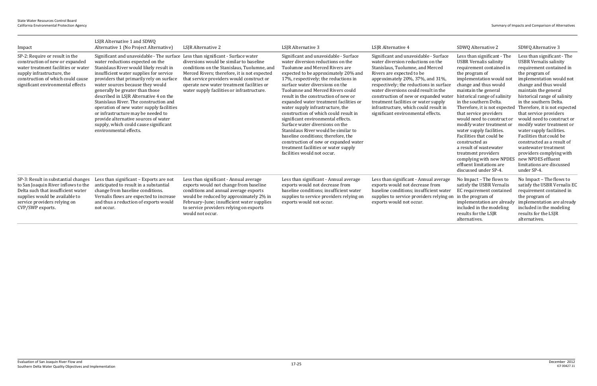| Impact                                                                                                                                                                                                           | LSJR Alternative 1 and SDWQ<br>Alternative 1 (No Project Alternative)                                                                                                                                                                                                                                                                                                                                                                                                                                                                                                                                         | LSJR Alternative 2                                                                                                                                                                                                                                                                | LSJR Alternative 3                                                                                                                                                                                                                                                                                                                                                                                                                                                                                                                                                                                                                                                                                         | LSJR Alternative 4                                                                                                                                                                                                                                                                                                                                                                                                                 | SDWQ Alternative 2                                                                                                                                                                                                                                                                                                                                                                                                                                                                                                                                                                  | SDWQ Alternative 3                                                                                                                                                                                                                                                                                                                                                                                                                                                                                                                                                                  |
|------------------------------------------------------------------------------------------------------------------------------------------------------------------------------------------------------------------|---------------------------------------------------------------------------------------------------------------------------------------------------------------------------------------------------------------------------------------------------------------------------------------------------------------------------------------------------------------------------------------------------------------------------------------------------------------------------------------------------------------------------------------------------------------------------------------------------------------|-----------------------------------------------------------------------------------------------------------------------------------------------------------------------------------------------------------------------------------------------------------------------------------|------------------------------------------------------------------------------------------------------------------------------------------------------------------------------------------------------------------------------------------------------------------------------------------------------------------------------------------------------------------------------------------------------------------------------------------------------------------------------------------------------------------------------------------------------------------------------------------------------------------------------------------------------------------------------------------------------------|------------------------------------------------------------------------------------------------------------------------------------------------------------------------------------------------------------------------------------------------------------------------------------------------------------------------------------------------------------------------------------------------------------------------------------|-------------------------------------------------------------------------------------------------------------------------------------------------------------------------------------------------------------------------------------------------------------------------------------------------------------------------------------------------------------------------------------------------------------------------------------------------------------------------------------------------------------------------------------------------------------------------------------|-------------------------------------------------------------------------------------------------------------------------------------------------------------------------------------------------------------------------------------------------------------------------------------------------------------------------------------------------------------------------------------------------------------------------------------------------------------------------------------------------------------------------------------------------------------------------------------|
| SP-2: Require or result in the<br>construction of new or expanded<br>water treatment facilities or water<br>supply infrastructure, the<br>construction of which could cause<br>significant environmental effects | Significant and unavoidable - The surface Less than significant - Surface water<br>water reductions expected on the<br>Stanislaus River would likely result in<br>insufficient water supplies for service<br>providers that primarily rely on surface<br>water sources because they would<br>generally be greater than those<br>described in LSJR Alternative 4 on the<br>Stanislaus River. The construction and<br>operation of new water supply facilities<br>or infrastructure may be needed to<br>provide alternative sources of water<br>supply, which could cause significant<br>environmental effects. | diversions would be similar to baseline<br>conditions on the Stanislaus, Tuolumne, and<br>Merced Rivers; therefore, it is not expected<br>that service providers would construct or<br>operate new water treatment facilities or<br>water supply facilities or infrastructure.    | Significant and unavoidable - Surface<br>water diversion reductions on the<br>Tuolumne and Merced Rivers are<br>expected to be approximately 20% and<br>17%, respectively; the reductions in<br>surface water diversions on the<br>Tuolumne and Merced Rivers could<br>result in the construction of new or<br>expanded water treatment facilities or<br>water supply infrastructure, the<br>construction of which could result in<br>significant environmental effects.<br>Surface water diversions on the<br>Stanislaus River would be similar to<br>baseline conditions; therefore, the<br>construction of new or expanded water<br>treatment facilities or water supply<br>facilities would not occur. | Significant and unavoidable - Surface<br>water diversion reductions on the<br>Stanislaus, Tuolumne, and Merced<br>Rivers are expected to be<br>approximately 20%, 37%, and 31%,<br>respectively; the reductions in surface<br>water diversions could result in the<br>construction of new or expanded water<br>treatment facilities or water supply<br>infrastructure, which could result in<br>significant environmental effects. | Less than significant - The<br><b>USBR Vernalis salinity</b><br>requirement contained in<br>the program of<br>implementation would not<br>change and thus would<br>maintain the general<br>historical range of salinity<br>in the southern Delta.<br>Therefore, it is not expected<br>that service providers<br>would need to construct or<br>modify water treatment or<br>water supply facilities.<br>Facilities that could be<br>constructed as<br>a result of wastewater<br>treatment providers<br>complying with new NPDES<br>effluent limitations are<br>discussed under SP-4. | Less than significant - The<br><b>USBR Vernalis salinity</b><br>requirement contained in<br>the program of<br>implementation would not<br>change and thus would<br>maintain the general<br>historical range of salinity<br>in the southern Delta.<br>Therefore, it is not expected<br>that service providers<br>would need to construct or<br>modify water treatment or<br>water supply facilities.<br>Facilities that could be<br>constructed as a result of<br>wastewater treatment<br>providers complying with<br>new NPDES effluent<br>limitations are discussed<br>under SP-4. |
| SP-3: Result in substantial changes<br>to San Joaquin River inflows to the<br>Delta such that insufficient water<br>supplies would be available to<br>service providers relying on<br>CVP/SWP exports.           | Less than significant - Exports are not<br>anticipated to result in a substantial<br>change from baseline conditions.<br>Vernalis flows are expected to increase<br>and thus a reduction of exports would<br>not occur.                                                                                                                                                                                                                                                                                                                                                                                       | Less than significant - Annual average<br>exports would not change from baseline<br>conditions and annual average exports<br>would be reduced by approximately 2% in<br>February-June; insufficient water supplies<br>to service providers relying on exports<br>would not occur. | Less than significant - Annual average<br>exports would not decrease from<br>baseline conditions; insufficient water<br>supplies to service providers relying on<br>exports would not occur.                                                                                                                                                                                                                                                                                                                                                                                                                                                                                                               | Less than significant - Annual average<br>exports would not decrease from<br>baseline conditions; insufficient water<br>supplies to service providers relying on<br>exports would not occur.                                                                                                                                                                                                                                       | No Impact - The flows to<br>satisfy the USBR Vernalis<br>EC requirement contained<br>in the program of<br>implementation are already<br>included in the modeling<br>results for the LSJR<br>alternatives.                                                                                                                                                                                                                                                                                                                                                                           | No Impact - The flows to<br>satisfy the USBR Vernalis EC<br>requirement contained in<br>the program of<br>implementation are already<br>included in the modeling<br>results for the LSJR<br>alternatives.                                                                                                                                                                                                                                                                                                                                                                           |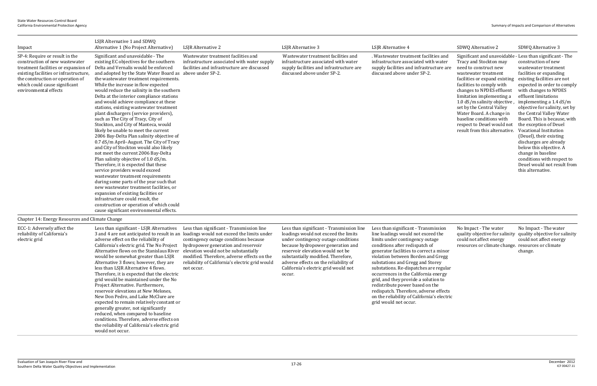| Impact                                                                                                                                                                                                                                           | LSJR Alternative 1 and SDWQ<br>Alternative 1 (No Project Alternative)                                                                                                                                                                                                                                                                                                                                                                                                                                                                                                                                                                                                                                                                                                                                                                                                                                                                                                                                                                                                                                                                                                                                      | LSJR Alternative 2                                                                                                                                                                                                                                                                                                                  | LSJR Alternative 3                                                                                                                                                                                                                                                                                                                 | LSJR Alternative 4                                                                                                                                                                                                                                                                                                                                                                                                                                                                                                                                  | SDWQ Alternative 2                                                                                                                                                                                                                                                                                                                                                                                                                              | SDWQ Alternative 3                                                                                                                                                                                                                                                                                                                                                                                                                                                                                                                                                |
|--------------------------------------------------------------------------------------------------------------------------------------------------------------------------------------------------------------------------------------------------|------------------------------------------------------------------------------------------------------------------------------------------------------------------------------------------------------------------------------------------------------------------------------------------------------------------------------------------------------------------------------------------------------------------------------------------------------------------------------------------------------------------------------------------------------------------------------------------------------------------------------------------------------------------------------------------------------------------------------------------------------------------------------------------------------------------------------------------------------------------------------------------------------------------------------------------------------------------------------------------------------------------------------------------------------------------------------------------------------------------------------------------------------------------------------------------------------------|-------------------------------------------------------------------------------------------------------------------------------------------------------------------------------------------------------------------------------------------------------------------------------------------------------------------------------------|------------------------------------------------------------------------------------------------------------------------------------------------------------------------------------------------------------------------------------------------------------------------------------------------------------------------------------|-----------------------------------------------------------------------------------------------------------------------------------------------------------------------------------------------------------------------------------------------------------------------------------------------------------------------------------------------------------------------------------------------------------------------------------------------------------------------------------------------------------------------------------------------------|-------------------------------------------------------------------------------------------------------------------------------------------------------------------------------------------------------------------------------------------------------------------------------------------------------------------------------------------------------------------------------------------------------------------------------------------------|-------------------------------------------------------------------------------------------------------------------------------------------------------------------------------------------------------------------------------------------------------------------------------------------------------------------------------------------------------------------------------------------------------------------------------------------------------------------------------------------------------------------------------------------------------------------|
| SP-4: Require or result in the<br>construction of new wastewater<br>treatment facilities or expansion of<br>existing facilities or infrastructure,<br>the construction or operation of<br>which could cause significant<br>environmental effects | Significant and unavoidable - The<br>existing EC objectives for the southern<br>Delta and Vernalis would be enforced<br>and adopted by the State Water Board as above under SP-2.<br>the wastewater treatment requirements.<br>While the increase in flow expected<br>would reduce the salinity in the southern<br>Delta at the interior compliance stations<br>and would achieve compliance at these<br>stations, existing wastewater treatment<br>plant dischargers (service providers),<br>such as The City of Tracy, City of<br>Stockton, and City of Manteca, would<br>likely be unable to meet the current<br>2006 Bay-Delta Plan salinity objective of<br>0.7 dS/m April-August. The City of Tracy<br>and City of Stockton would also likely<br>not meet the current 2006 Bay-Delta<br>Plan salinity objective of 1.0 dS/m.<br>Therefore, it is expected that these<br>service providers would exceed<br>wastewater treatment requirements<br>during some parts of the year such that<br>new wastewater treatment facilities, or<br>expansion of existing facilities or<br>infrastructure could result, the<br>construction or operation of which could<br>cause significant environmental effects. | Wastewater treatment facilities and<br>infrastructure associated with water supply<br>facilities and infrastructure are discussed                                                                                                                                                                                                   | Wastewater treatment facilities and<br>infrastructure associated with water<br>supply facilities and infrastructure are<br>discussed above under SP-2.                                                                                                                                                                             | . Wastewater treatment facilities and<br>infrastructure associated with water<br>supply facilities and infrastructure are<br>discussed above under SP-2.                                                                                                                                                                                                                                                                                                                                                                                            | Significant and unavoidable - Less than significant - The<br>Tracy and Stockton may<br>need to construct new<br>wastewater treatment<br>facilities or expand existing<br>facilities to comply with<br>changes to NPDES effluent<br>limitation implementing a<br>1.0 dS/m salinity objective<br>set by the Central Valley<br>Water Board. A change in<br>baseline conditions with<br>respect to Deuel would not<br>result from this alternative. | construction of new<br>wastewater treatment<br>facilities or expanding<br>existing facilities are not<br>expected in order to comply<br>with changes to NPDES<br>effluent limitations<br>implementing a 1.4 dS/m<br>objective for salinity, set by<br>the Central Valley Water<br>Board. This is because, with<br>the exception of Deuel<br><b>Vocational Institution</b><br>(Deuel), their existing<br>discharges are already<br>below this objective. A<br>change in baseline<br>conditions with respect to<br>Deuel would not result from<br>this alternative. |
| Chapter 14: Energy Resources and Climate Change                                                                                                                                                                                                  |                                                                                                                                                                                                                                                                                                                                                                                                                                                                                                                                                                                                                                                                                                                                                                                                                                                                                                                                                                                                                                                                                                                                                                                                            |                                                                                                                                                                                                                                                                                                                                     |                                                                                                                                                                                                                                                                                                                                    |                                                                                                                                                                                                                                                                                                                                                                                                                                                                                                                                                     |                                                                                                                                                                                                                                                                                                                                                                                                                                                 |                                                                                                                                                                                                                                                                                                                                                                                                                                                                                                                                                                   |
| ECC-1: Adversely affect the<br>reliability of California's<br>electric grid                                                                                                                                                                      | Less than significant - LSJR Alternatives<br>adverse effect on the reliability of<br>California's electric grid. The No Project<br>Alternative flows on the Stanislaus River elevation would not be substantially<br>would be somewhat greater than LSJR<br>Alternative 3 flows; however, they are<br>less than LSJR Alternative 4 flows.<br>Therefore, it is expected that the electric<br>grid would be maintained under the No<br>Project Alternative. Furthermore,<br>reservoir elevations at New Melones,<br>New Don Pedro, and Lake McClure are<br>expected to remain relatively constant or<br>generally greater, not significantly<br>reduced, when compared to baseline<br>conditions. Therefore, adverse effects on<br>the reliability of California's electric grid<br>would not occur.                                                                                                                                                                                                                                                                                                                                                                                                         | Less than significant - Transmission line<br>3 and 4 are not anticipated to result in an loadings would not exceed the limits under<br>contingency outage conditions because<br>hydropower generation and reservoir<br>modified. Therefore, adverse effects on the<br>reliability of California's electric grid would<br>not occur. | Less than significant - Transmission line<br>loadings would not exceed the limits<br>under contingency outage conditions<br>because hydropower generation and<br>reservoir elevation would not be<br>substantially modified. Therefore,<br>adverse effects on the reliability of<br>California's electric grid would not<br>occur. | Less than significant - Transmission<br>line loadings would not exceed the<br>limits under contingency outage<br>conditions after redispatch of<br>generator facilities to correct a minor<br>violation between Borden and Gregg<br>substations and Gregg and Storey<br>substations. Re-dispatches are regular<br>occurrences in the California energy<br>grid, and they provide a solution to<br>redistribute power based on the<br>redispatch. Therefore, adverse effects<br>on the reliability of California's electric<br>grid would not occur. | No Impact - The water<br>quality objective for salinity<br>could not affect energy<br>resources or climate change. resources or climate                                                                                                                                                                                                                                                                                                         | No Impact - The water<br>quality objective for salinity<br>could not affect energy<br>change.                                                                                                                                                                                                                                                                                                                                                                                                                                                                     |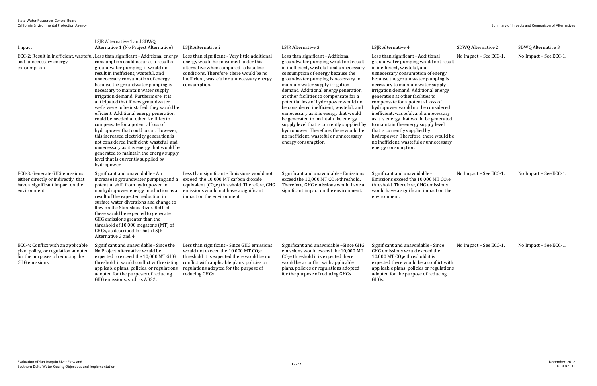| Impact                                                                                                                         | LSJR Alternative 1 and SDWQ<br>Alternative 1 (No Project Alternative)                                                                                                                                                                                                                                                                                                                                                                                                                                                                                                                                                                                                                                                                                                                                                                                             | LSJR Alternative 2                                                                                                                                                                                                                                       | LSJR Alternative 3                                                                                                                                                                                                                                                                                                                                                                                                                                                                                                                                                                                                                                         | LSJR Alternative 4                                                                                                                                                                                                                                                                                                                                                                                                                                                                                                                                                                                                                                            | SDWQ Alternative 2     | SDWQ Alternative 3     |
|--------------------------------------------------------------------------------------------------------------------------------|-------------------------------------------------------------------------------------------------------------------------------------------------------------------------------------------------------------------------------------------------------------------------------------------------------------------------------------------------------------------------------------------------------------------------------------------------------------------------------------------------------------------------------------------------------------------------------------------------------------------------------------------------------------------------------------------------------------------------------------------------------------------------------------------------------------------------------------------------------------------|----------------------------------------------------------------------------------------------------------------------------------------------------------------------------------------------------------------------------------------------------------|------------------------------------------------------------------------------------------------------------------------------------------------------------------------------------------------------------------------------------------------------------------------------------------------------------------------------------------------------------------------------------------------------------------------------------------------------------------------------------------------------------------------------------------------------------------------------------------------------------------------------------------------------------|---------------------------------------------------------------------------------------------------------------------------------------------------------------------------------------------------------------------------------------------------------------------------------------------------------------------------------------------------------------------------------------------------------------------------------------------------------------------------------------------------------------------------------------------------------------------------------------------------------------------------------------------------------------|------------------------|------------------------|
| and unnecessary energy<br>consumption                                                                                          | ECC-2: Result in inefficient, wasteful, Less than significant - Additional energy<br>consumption could occur as a result of<br>groundwater pumping, it would not<br>result in inefficient, wasteful, and<br>unnecessary consumption of energy<br>because the groundwater pumping is<br>necessary to maintain water supply<br>irrigation demand. Furthermore, it is<br>anticipated that if new groundwater<br>wells were to be installed, they would be<br>efficient. Additional energy generation<br>could be needed at other facilities to<br>compensate for a potential loss of<br>hydropower that could occur. However,<br>this increased electricity generation is<br>not considered inefficient, wasteful, and<br>unnecessary as it is energy that would be<br>generated to maintain the energy supply<br>level that is currently supplied by<br>hydropower. | Less than significant - Very little additional<br>energy would be consumed under this<br>alternative when compared to baseline<br>conditions. Therefore, there would be no<br>inefficient, wasteful or unnecessary energy<br>consumption.                | Less than significant - Additional<br>groundwater pumping would not result<br>in inefficient, wasteful, and unnecessary<br>consumption of energy because the<br>groundwater pumping is necessary to<br>maintain water supply irrigation<br>demand. Additional energy generation<br>at other facilities to compensate for a<br>potential loss of hydropower would not<br>be considered inefficient, wasteful, and<br>unnecessary as it is energy that would<br>be generated to maintain the energy<br>supply level that is currently supplied by<br>hydropower. Therefore, there would be<br>no inefficient, wasteful or unnecessary<br>energy consumption. | Less than significant - Additional<br>groundwater pumping would not result<br>in inefficient, wasteful, and<br>unnecessary consumption of energy<br>because the groundwater pumping is<br>necessary to maintain water supply<br>irrigation demand. Additional energy<br>generation at other facilities to<br>compensate for a potential loss of<br>hydropower would not be considered<br>inefficient, wasteful, and unnecessary<br>as it is energy that would be generated<br>to maintain the energy supply level<br>that is currently supplied by<br>hydropower. Therefore, there would be<br>no inefficient, wasteful or unnecessary<br>energy consumption. | No Impact - See ECC-1. | No Impact - See ECC-1. |
| ECC-3: Generate GHG emissions,<br>either directly or indirectly, that<br>have a significant impact on the<br>environment       | Significant and unavoidable - An<br>increase in groundwater pumping and a<br>potential shift from hydropower to<br>nonhydropower energy production as a<br>result of the expected reduction in<br>surface water diversions and change to<br>flow on the Stanislaus River. Both of<br>these would be expected to generate<br>GHG emissions greater than the<br>threshold of 10,000 megatons (MT) of<br>GHGs, as described for both LSJR<br>Alternative 3 and 4.                                                                                                                                                                                                                                                                                                                                                                                                    | Less than significant - Emissions would not<br>exceed the 10,000 MT carbon dioxide<br>equivalent (CO <sub>2</sub> e) threshold. Therefore, GHG<br>emissions would not have a significant<br>impact on the environment.                                   | Significant and unavoidable - Emissions<br>exceed the 10,000 MT CO <sub>2</sub> e threshold.<br>Therefore, GHG emissions would have a<br>significant impact on the environment.                                                                                                                                                                                                                                                                                                                                                                                                                                                                            | Significant and unavoidable -<br>Emissions exceed the $10,000$ MT CO <sub>2</sub> e<br>threshold. Therefore, GHG emissions<br>would have a significant impact on the<br>environment.                                                                                                                                                                                                                                                                                                                                                                                                                                                                          | No Impact - See ECC-1. | No Impact - See ECC-1. |
| ECC-4: Conflict with an applicable<br>plan, policy, or regulation adopted<br>for the purposes of reducing the<br>GHG emissions | Significant and unavoidable - Since the<br>No Project Alternative would be<br>expected to exceed the 10,000 MT GHG<br>threshold, it would conflict with existing<br>applicable plans, policies, or regulations<br>adopted for the purposes of reducing<br>GHG emissions, such as AB32.                                                                                                                                                                                                                                                                                                                                                                                                                                                                                                                                                                            | Less than significant - Since GHG emissions<br>would not exceed the 10,000 MT CO <sub>2</sub> e<br>threshold it is expected there would be no<br>conflict with applicable plans, policies or<br>regulations adopted for the purpose of<br>reducing GHGs. | Significant and unavoidable -Since GHG<br>emissions would exceed the 10,000 MT<br>$CO2e$ threshold it is expected there<br>would be a conflict with applicable<br>plans, policies or regulations adopted<br>for the purpose of reducing GHGs.                                                                                                                                                                                                                                                                                                                                                                                                              | Significant and unavoidable - Since<br>GHG emissions would exceed the<br>10,000 MT $CO2e$ threshold it is<br>expected there would be a conflict with<br>applicable plans, policies or regulations<br>adopted for the purpose of reducing<br>GHGs.                                                                                                                                                                                                                                                                                                                                                                                                             | No Impact - See ECC-1. | No Impact - See ECC-1. |